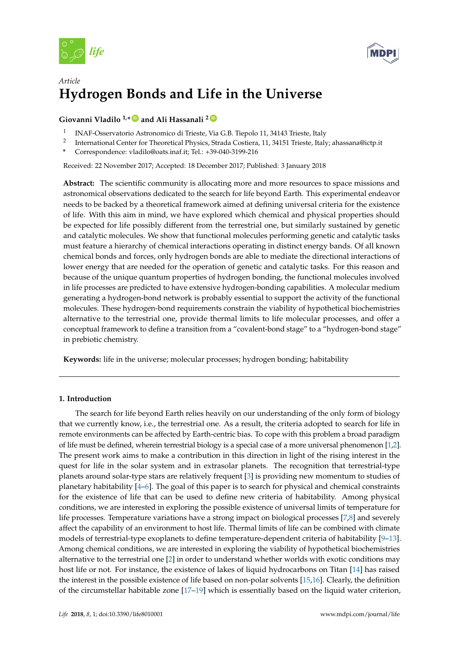



# *Article* **Hydrogen Bonds and Life in the Universe**

## **Giovanni Vladilo 1,\* [ID](https://orcid.org/0000-0001-7604-8332) and Ali Hassanali <sup>2</sup> [ID](https://orcid.org/0000-0002-3208-1488)**

- 1 INAF-Osservatorio Astronomico di Trieste, Via G.B. Tiepolo 11, 34143 Trieste, Italy
- 2 International Center for Theoretical Physics, Strada Costiera, 11, 34151 Trieste, Italy; ahassana@ictp.it
- **\*** Correspondence: vladilo@oats.inaf.it; Tel.: +39-040-3199-216

Received: 22 November 2017; Accepted: 18 December 2017; Published: 3 January 2018

**Abstract:** The scientific community is allocating more and more resources to space missions and astronomical observations dedicated to the search for life beyond Earth. This experimental endeavor needs to be backed by a theoretical framework aimed at defining universal criteria for the existence of life. With this aim in mind, we have explored which chemical and physical properties should be expected for life possibly different from the terrestrial one, but similarly sustained by genetic and catalytic molecules. We show that functional molecules performing genetic and catalytic tasks must feature a hierarchy of chemical interactions operating in distinct energy bands. Of all known chemical bonds and forces, only hydrogen bonds are able to mediate the directional interactions of lower energy that are needed for the operation of genetic and catalytic tasks. For this reason and because of the unique quantum properties of hydrogen bonding, the functional molecules involved in life processes are predicted to have extensive hydrogen-bonding capabilities. A molecular medium generating a hydrogen-bond network is probably essential to support the activity of the functional molecules. These hydrogen-bond requirements constrain the viability of hypothetical biochemistries alternative to the terrestrial one, provide thermal limits to life molecular processes, and offer a conceptual framework to define a transition from a "covalent-bond stage" to a "hydrogen-bond stage" in prebiotic chemistry.

**Keywords:** life in the universe; molecular processes; hydrogen bonding; habitability

### **1. Introduction**

The search for life beyond Earth relies heavily on our understanding of the only form of biology that we currently know, i.e., the terrestrial one. As a result, the criteria adopted to search for life in remote environments can be affected by Earth-centric bias. To cope with this problem a broad paradigm of life must be defined, wherein terrestrial biology is a special case of a more universal phenomenon [\[1,](#page-18-0)[2\]](#page-18-1). The present work aims to make a contribution in this direction in light of the rising interest in the quest for life in the solar system and in extrasolar planets. The recognition that terrestrial-type planets around solar-type stars are relatively frequent [\[3\]](#page-18-2) is providing new momentum to studies of planetary habitability [\[4](#page-18-3)[–6\]](#page-18-4). The goal of this paper is to search for physical and chemical constraints for the existence of life that can be used to define new criteria of habitability. Among physical conditions, we are interested in exploring the possible existence of universal limits of temperature for life processes. Temperature variations have a strong impact on biological processes [\[7](#page-18-5)[,8\]](#page-18-6) and severely affect the capability of an environment to host life. Thermal limits of life can be combined with climate models of terrestrial-type exoplanets to define temperature-dependent criteria of habitability [\[9–](#page-18-7)[13\]](#page-18-8). Among chemical conditions, we are interested in exploring the viability of hypothetical biochemistries alternative to the terrestrial one [\[2\]](#page-18-1) in order to understand whether worlds with exotic conditions may host life or not. For instance, the existence of lakes of liquid hydrocarbons on Titan [\[14\]](#page-18-9) has raised the interest in the possible existence of life based on non-polar solvents [\[15,](#page-18-10)[16\]](#page-18-11). Clearly, the definition of the circumstellar habitable zone [\[17–](#page-18-12)[19\]](#page-18-13) which is essentially based on the liquid water criterion,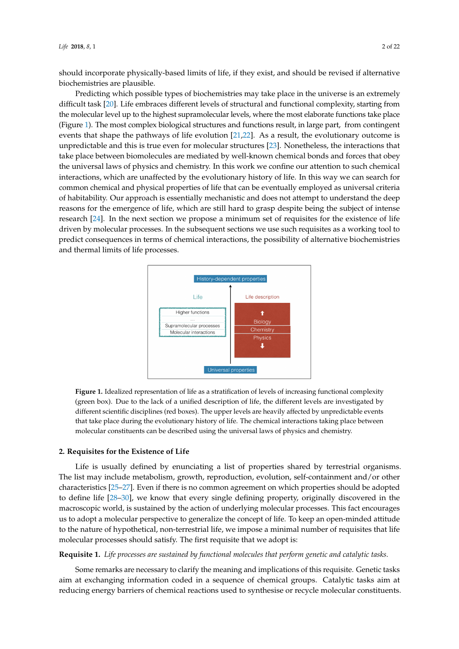should incorporate physically-based limits of life, if they exist, and should be revised if alternative biochemistries are plausible.

Predicting which possible types of biochemistries may take place in the universe is an extremely difficult task [\[20\]](#page-18-14). Life embraces different levels of structural and functional complexity, starting from the molecular level up to the highest supramolecular levels, where the most elaborate functions take place (Figure [1\)](#page-1-0). The most complex biological structures and functions result, in large part, from contingent events that shape the pathways of life evolution [\[21](#page-19-0)[,22\]](#page-19-1). As a result, the evolutionary outcome is unpredictable and this is true even for molecular structures [\[23\]](#page-19-2). Nonetheless, the interactions that take place between biomolecules are mediated by well-known chemical bonds and forces that obey the universal laws of physics and chemistry. In this work we confine our attention to such chemical interactions, which are unaffected by the evolutionary history of life. In this way we can search for common chemical and physical properties of life that can be eventually employed as universal criteria of habitability. Our approach is essentially mechanistic and does not attempt to understand the deep reasons for the emergence of life, which are still hard to grasp despite being the subject of intense research [\[24\]](#page-19-3). In the next section we propose a minimum set of requisites for the existence of life driven by molecular processes. In the subsequent sections we use such requisites as a working tool to predict consequences in terms of chemical interactions, the possibility of alternative biochemistries and thermal limits of life processes.

<span id="page-1-0"></span>

**Figure 1.** Idealized representation of life as a stratification of levels of increasing functional complexity (green box). Due to the lack of a unified description of life, the different levels are investigated by different scientific disciplines (red boxes). The upper levels are heavily affected by unpredictable events that take place during the evolutionary history of life. The chemical interactions taking place between molecular constituents can be described using the universal laws of physics and chemistry.

### <span id="page-1-2"></span>**2. Requisites for the Existence of Life**

Life is usually defined by enunciating a list of properties shared by terrestrial organisms. The list may include metabolism, growth, reproduction, evolution, self-containment and/or other characteristics [\[25–](#page-19-4)[27\]](#page-19-5). Even if there is no common agreement on which properties should be adopted to define life [\[28](#page-19-6)[–30\]](#page-19-7), we know that every single defining property, originally discovered in the macroscopic world, is sustained by the action of underlying molecular processes. This fact encourages us to adopt a molecular perspective to generalize the concept of life. To keep an open-minded attitude to the nature of hypothetical, non-terrestrial life, we impose a minimal number of requisites that life molecular processes should satisfy. The first requisite that we adopt is:

### <span id="page-1-1"></span>**Requisite 1.** *Life processes are sustained by functional molecules that perform genetic and catalytic tasks.*

Some remarks are necessary to clarify the meaning and implications of this requisite. Genetic tasks aim at exchanging information coded in a sequence of chemical groups. Catalytic tasks aim at reducing energy barriers of chemical reactions used to synthesise or recycle molecular constituents.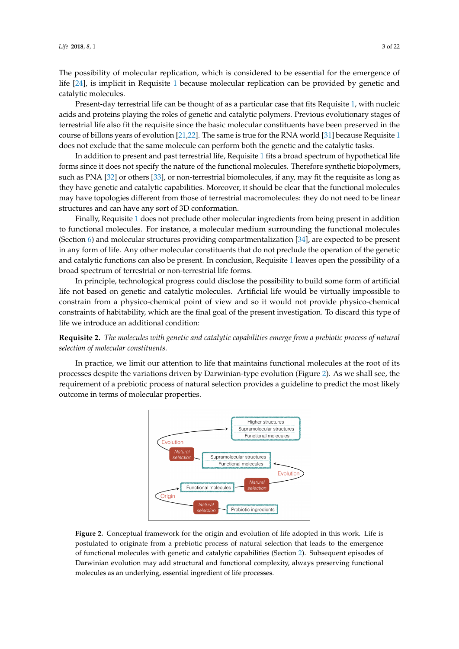The possibility of molecular replication, which is considered to be essential for the emergence of life [\[24\]](#page-19-3), is implicit in Requisite [1](#page-1-1) because molecular replication can be provided by genetic and catalytic molecules.

Present-day terrestrial life can be thought of as a particular case that fits Requisite [1,](#page-1-1) with nucleic acids and proteins playing the roles of genetic and catalytic polymers. Previous evolutionary stages of terrestrial life also fit the requisite since the basic molecular constituents have been preserved in the course of billons years of evolution [\[21](#page-19-0)[,22\]](#page-19-1). The same is true for the RNA world [\[31\]](#page-19-8) because Requisite [1](#page-1-1) does not exclude that the same molecule can perform both the genetic and the catalytic tasks.

In addition to present and past terrestrial life, Requisite [1](#page-1-1) fits a broad spectrum of hypothetical life forms since it does not specify the nature of the functional molecules. Therefore synthetic biopolymers, such as PNA [\[32\]](#page-19-9) or others [\[33\]](#page-19-10), or non-terrestrial biomolecules, if any, may fit the requisite as long as they have genetic and catalytic capabilities. Moreover, it should be clear that the functional molecules may have topologies different from those of terrestrial macromolecules: they do not need to be linear structures and can have any sort of 3D conformation.

Finally, Requisite [1](#page-1-1) does not preclude other molecular ingredients from being present in addition to functional molecules. For instance, a molecular medium surrounding the functional molecules (Section [6\)](#page-12-0) and molecular structures providing compartmentalization [\[34\]](#page-19-11), are expected to be present in any form of life. Any other molecular constituents that do not preclude the operation of the genetic and catalytic functions can also be present. In conclusion, Requisite [1](#page-1-1) leaves open the possibility of a broad spectrum of terrestrial or non-terrestrial life forms.

In principle, technological progress could disclose the possibility to build some form of artificial life not based on genetic and catalytic molecules. Artificial life would be virtually impossible to constrain from a physico-chemical point of view and so it would not provide physico-chemical constraints of habitability, which are the final goal of the present investigation. To discard this type of life we introduce an additional condition:

<span id="page-2-1"></span>**Requisite 2.** *The molecules with genetic and catalytic capabilities emerge from a prebiotic process of natural selection of molecular constituents.*

<span id="page-2-0"></span>In practice, we limit our attention to life that maintains functional molecules at the root of its processes despite the variations driven by Darwinian-type evolution (Figure [2\)](#page-2-0). As we shall see, the requirement of a prebiotic process of natural selection provides a guideline to predict the most likely outcome in terms of molecular properties.



**Figure 2.** Conceptual framework for the origin and evolution of life adopted in this work. Life is postulated to originate from a prebiotic process of natural selection that leads to the emergence of functional molecules with genetic and catalytic capabilities (Section [2\)](#page-1-2). Subsequent episodes of Darwinian evolution may add structural and functional complexity, always preserving functional molecules as an underlying, essential ingredient of life processes.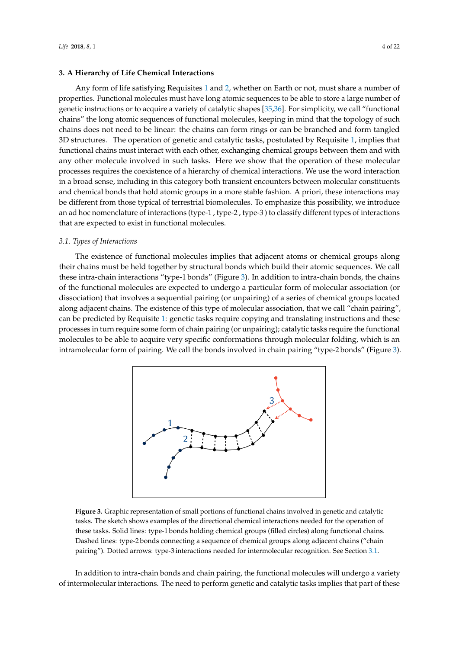### <span id="page-3-2"></span>**3. A Hierarchy of Life Chemical Interactions**

Any form of life satisfying Requisites [1](#page-1-1) and [2,](#page-2-1) whether on Earth or not, must share a number of properties. Functional molecules must have long atomic sequences to be able to store a large number of genetic instructions or to acquire a variety of catalytic shapes [\[35](#page-19-12)[,36\]](#page-19-13). For simplicity, we call "functional chains" the long atomic sequences of functional molecules, keeping in mind that the topology of such chains does not need to be linear: the chains can form rings or can be branched and form tangled 3D structures. The operation of genetic and catalytic tasks, postulated by Requisite [1,](#page-1-1) implies that functional chains must interact with each other, exchanging chemical groups between them and with any other molecule involved in such tasks. Here we show that the operation of these molecular processes requires the coexistence of a hierarchy of chemical interactions. We use the word interaction in a broad sense, including in this category both transient encounters between molecular constituents and chemical bonds that hold atomic groups in a more stable fashion. A priori, these interactions may be different from those typical of terrestrial biomolecules. To emphasize this possibility, we introduce an ad hoc nomenclature of interactions (type-1 , type-2 , type-3 ) to classify different types of interactions that are expected to exist in functional molecules.

### <span id="page-3-1"></span>*3.1. Types of Interactions*

The existence of functional molecules implies that adjacent atoms or chemical groups along their chains must be held together by structural bonds which build their atomic sequences. We call these intra-chain interactions "type-1 bonds" (Figure [3\)](#page-3-0). In addition to intra-chain bonds, the chains of the functional molecules are expected to undergo a particular form of molecular association (or dissociation) that involves a sequential pairing (or unpairing) of a series of chemical groups located along adjacent chains. The existence of this type of molecular association, that we call "chain pairing", can be predicted by Requisite [1:](#page-1-1) genetic tasks require copying and translating instructions and these processes in turn require some form of chain pairing (or unpairing); catalytic tasks require the functional molecules to be able to acquire very specific conformations through molecular folding, which is an intramolecular form of pairing. We call the bonds involved in chain pairing "type-2 bonds" (Figure [3\)](#page-3-0).

<span id="page-3-0"></span>

**Figure 3.** Graphic representation of small portions of functional chains involved in genetic and catalytic tasks. The sketch shows examples of the directional chemical interactions needed for the operation of these tasks. Solid lines: type-1 bonds holding chemical groups (filled circles) along functional chains. Dashed lines: type-2 bonds connecting a sequence of chemical groups along adjacent chains ("chain pairing"). Dotted arrows: type-3 interactions needed for intermolecular recognition. See Section [3.1.](#page-3-1)

In addition to intra-chain bonds and chain pairing, the functional molecules will undergo a variety of intermolecular interactions. The need to perform genetic and catalytic tasks implies that part of these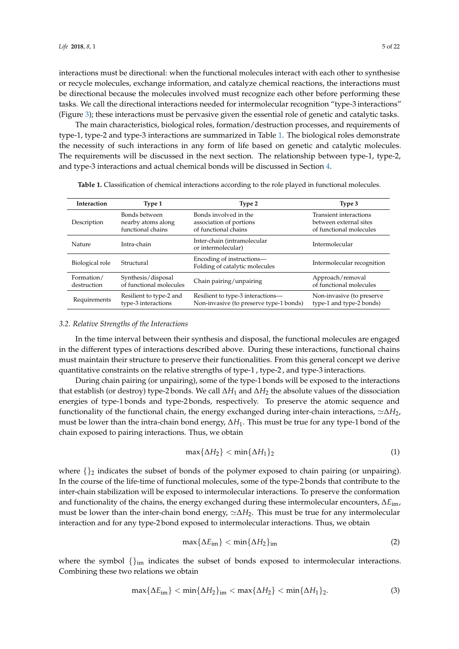interactions must be directional: when the functional molecules interact with each other to synthesise or recycle molecules, exchange information, and catalyze chemical reactions, the interactions must be directional because the molecules involved must recognize each other before performing these tasks. We call the directional interactions needed for intermolecular recognition "type-3 interactions" (Figure [3\)](#page-3-0); these interactions must be pervasive given the essential role of genetic and catalytic tasks.

The main characteristics, biological roles, formation/destruction processes, and requirements of type-1, type-2 and type-3 interactions are summarized in Table [1.](#page-4-0) The biological roles demonstrate the necessity of such interactions in any form of life based on genetic and catalytic molecules. The requirements will be discussed in the next section. The relationship between type-1, type-2, and type-3 interactions and actual chemical bonds will be discussed in Section [4.](#page-5-0)

| <b>Interaction</b> | Type 1                  | Type 2                                                      | Type 3                     |  |
|--------------------|-------------------------|-------------------------------------------------------------|----------------------------|--|
| Description        | Bonds between           | Bonds involved in the                                       | Transient interactions     |  |
|                    | nearby atoms along      | association of portions                                     | between external sites     |  |
|                    | functional chains       | of functional chains                                        | of functional molecules    |  |
| Nature             | Intra-chain             | Inter-chain (intramolecular<br>or intermolecular)           | Intermolecular             |  |
| Biological role    | Structural              | Encoding of instructions—<br>Folding of catalytic molecules | Intermolecular recognition |  |
| Formation/         | Synthesis/disposal      | Chain pairing/unpairing                                     | Approach/removal           |  |
| destruction        | of functional molecules |                                                             | of functional molecules    |  |
| Requirements       | Resilient to type-2 and | Resilient to type-3 interactions—                           | Non-invasive (to preserve  |  |
|                    | type-3 interactions     | Non-invasive (to preserve type-1 bonds)                     | type-1 and type-2 bonds)   |  |

<span id="page-4-0"></span>**Table 1.** Classification of chemical interactions according to the role played in functional molecules.

### <span id="page-4-2"></span>*3.2. Relative Strengths of the Interactions*

In the time interval between their synthesis and disposal, the functional molecules are engaged in the different types of interactions described above. During these interactions, functional chains must maintain their structure to preserve their functionalities. From this general concept we derive quantitative constraints on the relative strengths of type-1 , type-2 , and type-3 interactions.

During chain pairing (or unpairing), some of the type-1 bonds will be exposed to the interactions that establish (or destroy) type-2 bonds. We call ∆*H*<sup>1</sup> and ∆*H*<sup>2</sup> the absolute values of the dissociation energies of type-1 bonds and type-2 bonds, respectively. To preserve the atomic sequence and functionality of the functional chain, the energy exchanged during inter-chain interactions,  $\simeq \Delta H_2$ , must be lower than the intra-chain bond energy, ∆*H*1. This must be true for any type-1 bond of the chain exposed to pairing interactions. Thus, we obtain

$$
\max\{\Delta H_2\} < \min\{\Delta H_1\}_2\tag{1}
$$

where  $\{\}_2$  indicates the subset of bonds of the polymer exposed to chain pairing (or unpairing). In the course of the life-time of functional molecules, some of the type-2 bonds that contribute to the inter-chain stabilization will be exposed to intermolecular interactions. To preserve the conformation and functionality of the chains, the energy exchanged during these intermolecular encounters, ∆*E*im, must be lower than the inter-chain bond energy,  $\simeq \Delta H_2$ . This must be true for any intermolecular interaction and for any type-2 bond exposed to intermolecular interactions. Thus, we obtain

$$
\max\{\Delta E_{\text{im}}\} < \min\{\Delta H_2\}_{\text{im}}\tag{2}
$$

where the symbol  $\{\}_{im}$  indicates the subset of bonds exposed to intermolecular interactions. Combining these two relations we obtain

<span id="page-4-1"></span>
$$
\max\{\Delta E_{\text{im}}\} < \min\{\Delta H_2\}_{\text{im}} < \max\{\Delta H_2\} < \min\{\Delta H_1\}_2. \tag{3}
$$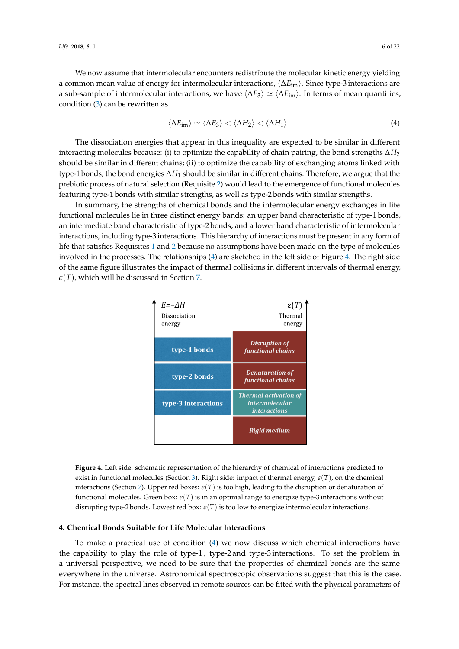We now assume that intermolecular encounters redistribute the molecular kinetic energy yielding a common mean value of energy for intermolecular interactions, h∆*E*imi. Since type-3 interactions are a sub-sample of intermolecular interactions, we have  $\langle \Delta E_3 \rangle \simeq \langle \Delta E_{\text{im}} \rangle$ . In terms of mean quantities, condition [\(3\)](#page-4-1) can be rewritten as

<span id="page-5-1"></span>
$$
\langle \Delta E_{\rm im} \rangle \simeq \langle \Delta E_3 \rangle < \langle \Delta H_2 \rangle < \langle \Delta H_1 \rangle \,.
$$
 (4)

The dissociation energies that appear in this inequality are expected to be similar in different interacting molecules because: (i) to optimize the capability of chain pairing, the bond strengths  $\Delta H_2$ should be similar in different chains; (ii) to optimize the capability of exchanging atoms linked with type-1 bonds, the bond energies ∆*H*<sup>1</sup> should be similar in different chains. Therefore, we argue that the prebiotic process of natural selection (Requisite [2\)](#page-2-1) would lead to the emergence of functional molecules featuring type-1 bonds with similar strengths, as well as type-2 bonds with similar strengths.

In summary, the strengths of chemical bonds and the intermolecular energy exchanges in life functional molecules lie in three distinct energy bands: an upper band characteristic of type-1 bonds, an intermediate band characteristic of type-2 bonds, and a lower band characteristic of intermolecular interactions, including type-3 interactions. This hierarchy of interactions must be present in any form of life that satisfies Requisites [1](#page-1-1) and [2](#page-2-1) because no assumptions have been made on the type of molecules involved in the processes. The relationships [\(4\)](#page-5-1) are sketched in the left side of Figure [4.](#page-5-2) The right side of the same figure illustrates the impact of thermal collisions in different intervals of thermal energy,  $\epsilon(T)$ , which will be discussed in Section [7.](#page-14-0)

<span id="page-5-2"></span>

**Figure 4.** Left side: schematic representation of the hierarchy of chemical of interactions predicted to exist in functional molecules (Section [3\)](#page-3-2). Right side: impact of thermal energy,  $\epsilon(T)$ , on the chemical interactions (Section [7\)](#page-14-0). Upper red boxes:  $\epsilon(T)$  is too high, leading to the disruption or denaturation of functional molecules. Green box:  $\epsilon(T)$  is in an optimal range to energize type-3 interactions without disrupting type-2 bonds. Lowest red box:  $\epsilon(T)$  is too low to energize intermolecular interactions.

# <span id="page-5-0"></span>**4. Chemical Bonds Suitable for Life Molecular Interactions**

To make a practical use of condition [\(4\)](#page-5-1) we now discuss which chemical interactions have the capability to play the role of type-1 , type-2 and type-3 interactions. To set the problem in a universal perspective, we need to be sure that the properties of chemical bonds are the same everywhere in the universe. Astronomical spectroscopic observations suggest that this is the case. For instance, the spectral lines observed in remote sources can be fitted with the physical parameters of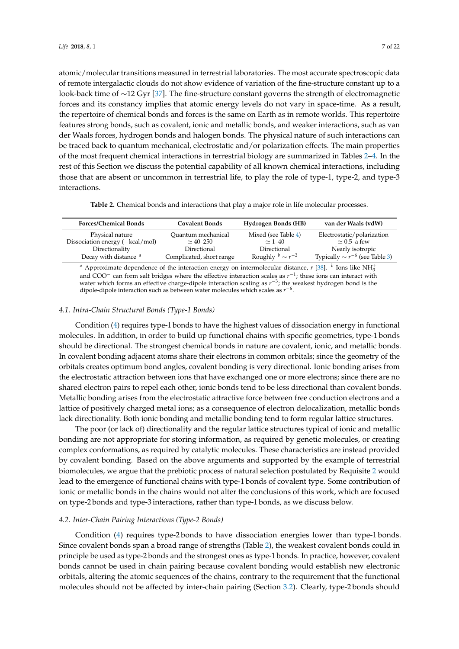atomic/molecular transitions measured in terrestrial laboratories. The most accurate spectroscopic data of remote intergalactic clouds do not show evidence of variation of the fine-structure constant up to a look-back time of ∼12 Gyr [\[37\]](#page-19-14). The fine-structure constant governs the strength of electromagnetic forces and its constancy implies that atomic energy levels do not vary in space-time. As a result, the repertoire of chemical bonds and forces is the same on Earth as in remote worlds. This repertoire features strong bonds, such as covalent, ionic and metallic bonds, and weaker interactions, such as van der Waals forces, hydrogen bonds and halogen bonds. The physical nature of such interactions can be traced back to quantum mechanical, electrostatic and/or polarization effects. The main properties of the most frequent chemical interactions in terrestrial biology are summarized in Tables [2–](#page-6-0)[4.](#page-7-0) In the rest of this Section we discuss the potential capability of all known chemical interactions, including those that are absent or uncommon in terrestrial life, to play the role of type-1, type-2, and type-3 interactions.

**Table 2.** Chemical bonds and interactions that play a major role in life molecular processes.

<span id="page-6-0"></span>

| <b>Forces/Chemical Bonds</b>    | <b>Covalent Bonds</b>    | Hydrogen Bonds (HB)               | van der Waals (vdW)                   |
|---------------------------------|--------------------------|-----------------------------------|---------------------------------------|
| Physical nature                 | Quantum mechanical       | Mixed (see Table 4)               | Electrostatic/polarization            |
| Dissociation energy (-kcal/mol) | $\simeq 40 - 250$        | $\simeq$ 1-40                     | $\simeq$ 0.5-a few                    |
| Directionality                  | Directional              | Directional                       | Nearly isotropic                      |
| Decay with distance $a$         | Complicated, short range | Roughly $\frac{b}{r} \sim r^{-2}$ | Typically $\sim r^{-6}$ (see Table 3) |

*a* Approximate dependence of the interaction energy on intermolecular distance, *r* [\[38\]](#page-19-15). *b* Ions like NH<sub>3</sub><sup>+</sup> and COO<sup>−</sup> can form salt bridges where the effective interaction scales as  $r^{-1}$ ; these ions can interact with water which forms an effective charge-dipole interaction scaling as  $r^{-3}$ ; the weakest hydrogen bond is the dipole-dipole interaction such as between water molecules which scales as *r*<sup>−6</sup>.

### *4.1. Intra-Chain Structural Bonds (Type-1 Bonds)*

Condition [\(4\)](#page-5-1) requires type-1 bonds to have the highest values of dissociation energy in functional molecules. In addition, in order to build up functional chains with specific geometries, type-1 bonds should be directional. The strongest chemical bonds in nature are covalent, ionic, and metallic bonds. In covalent bonding adjacent atoms share their electrons in common orbitals; since the geometry of the orbitals creates optimum bond angles, covalent bonding is very directional. Ionic bonding arises from the electrostatic attraction between ions that have exchanged one or more electrons; since there are no shared electron pairs to repel each other, ionic bonds tend to be less directional than covalent bonds. Metallic bonding arises from the electrostatic attractive force between free conduction electrons and a lattice of positively charged metal ions; as a consequence of electron delocalization, metallic bonds lack directionality. Both ionic bonding and metallic bonding tend to form regular lattice structures.

The poor (or lack of) directionality and the regular lattice structures typical of ionic and metallic bonding are not appropriate for storing information, as required by genetic molecules, or creating complex conformations, as required by catalytic molecules. These characteristics are instead provided by covalent bonding. Based on the above arguments and supported by the example of terrestrial biomolecules, we argue that the prebiotic process of natural selection postulated by Requisite [2](#page-2-1) would lead to the emergence of functional chains with type-1 bonds of covalent type. Some contribution of ionic or metallic bonds in the chains would not alter the conclusions of this work, which are focused on type-2 bonds and type-3 interactions, rather than type-1 bonds, as we discuss below.

### *4.2. Inter-Chain Pairing Interactions (Type-2 Bonds)*

Condition [\(4\)](#page-5-1) requires type-2 bonds to have dissociation energies lower than type-1 bonds. Since covalent bonds span a broad range of strengths (Table [2\)](#page-6-0), the weakest covalent bonds could in principle be used as type-2 bonds and the strongest ones as type-1 bonds. In practice, however, covalent bonds cannot be used in chain pairing because covalent bonding would establish new electronic orbitals, altering the atomic sequences of the chains, contrary to the requirement that the functional molecules should not be affected by inter-chain pairing (Section [3.2\)](#page-4-2). Clearly, type-2 bonds should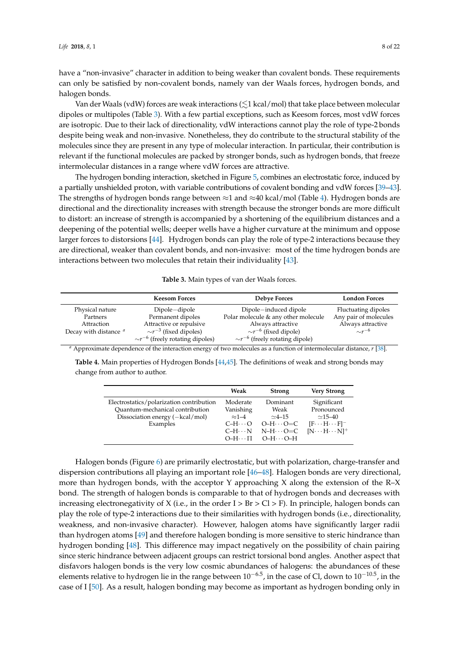have a "non-invasive" character in addition to being weaker than covalent bonds. These requirements can only be satisfied by non-covalent bonds, namely van der Waals forces, hydrogen bonds, and halogen bonds.

Van der Waals (vdW) forces are weak interactions ( $\lesssim$ 1 kcal/mol) that take place between molecular dipoles or multipoles (Table [3\)](#page-7-1). With a few partial exceptions, such as Keesom forces, most vdW forces are isotropic. Due to their lack of directionality, vdW interactions cannot play the role of type-2 bonds despite being weak and non-invasive. Nonetheless, they do contribute to the structural stability of the molecules since they are present in any type of molecular interaction. In particular, their contribution is relevant if the functional molecules are packed by stronger bonds, such as hydrogen bonds, that freeze intermolecular distances in a range where vdW forces are attractive.

The hydrogen bonding interaction, sketched in Figure [5,](#page-8-0) combines an electrostatic force, induced by a partially unshielded proton, with variable contributions of covalent bonding and vdW forces [\[39](#page-19-16)[–43\]](#page-19-17). The strengths of hydrogen bonds range between ≈1 and ≈40 kcal/mol (Table [4\)](#page-7-0). Hydrogen bonds are directional and the directionality increases with strength because the stronger bonds are more difficult to distort: an increase of strength is accompanied by a shortening of the equilibrium distances and a deepening of the potential wells; deeper wells have a higher curvature at the minimum and oppose larger forces to distorsions [\[44\]](#page-19-18). Hydrogen bonds can play the role of type-2 interactions because they are directional, weaker than covalent bonds, and non-invasive: most of the time hydrogen bonds are interactions between two molecules that retain their individuality [\[43\]](#page-19-17).

| Table 3. Main types of van der Waals forces. |  |  |  |  |  |
|----------------------------------------------|--|--|--|--|--|
|----------------------------------------------|--|--|--|--|--|

<span id="page-7-1"></span>

|                                                                                                                                                                                                                                                                                                                                                                                                                                                                                                                                                                                                                                                       | <b>Keesom Forces</b>                    | Debye Forces                           | <b>London Forces</b>  |  |  |
|-------------------------------------------------------------------------------------------------------------------------------------------------------------------------------------------------------------------------------------------------------------------------------------------------------------------------------------------------------------------------------------------------------------------------------------------------------------------------------------------------------------------------------------------------------------------------------------------------------------------------------------------------------|-----------------------------------------|----------------------------------------|-----------------------|--|--|
| Physical nature                                                                                                                                                                                                                                                                                                                                                                                                                                                                                                                                                                                                                                       | Dipole-dipole                           | Dipole-induced dipole                  | Fluctuating dipoles   |  |  |
| Partners                                                                                                                                                                                                                                                                                                                                                                                                                                                                                                                                                                                                                                              | Permanent dipoles                       | Polar molecule & any other molecule    | Any pair of molecules |  |  |
| Attraction                                                                                                                                                                                                                                                                                                                                                                                                                                                                                                                                                                                                                                            | Attractive or repulsive                 | Always attractive                      | Always attractive     |  |  |
| Decay with distance <sup>a</sup>                                                                                                                                                                                                                                                                                                                                                                                                                                                                                                                                                                                                                      | $\sim r^{-3}$ (fixed dipoles)           | $\sim r^{-6}$ (fixed dipole)           | $\sim r^{-6}$         |  |  |
|                                                                                                                                                                                                                                                                                                                                                                                                                                                                                                                                                                                                                                                       | $\sim r^{-6}$ (freely rotating dipoles) | $\sim r^{-6}$ (freely rotating dipole) |                       |  |  |
| $\theta$ and $\theta$ and $\theta$ and $\theta$ and $\theta$ and $\theta$ and $\theta$ and $\theta$ and $\theta$ and $\theta$ and $\theta$ and $\theta$ and $\theta$ and $\theta$ and $\theta$ and $\theta$ and $\theta$ and $\theta$ and $\theta$ and $\theta$ and $\theta$ and $\theta$ and $\theta$ and $\theta$ and $\theta$<br>$\mathcal{L}$ and $\mathcal{L}$ and $\mathcal{L}$ and $\mathcal{L}$ and $\mathcal{L}$ and $\mathcal{L}$ and $\mathcal{L}$ and $\mathcal{L}$ and $\mathcal{L}$ and $\mathcal{L}$ and $\mathcal{L}$ and $\mathcal{L}$ and $\mathcal{L}$ and $\mathcal{L}$ and $\mathcal{L}$ and $\mathcal{L}$ and $\mathcal{L}$ and |                                         |                                        |                       |  |  |

<span id="page-7-0"></span>*<sup>a</sup>* Approximate dependence of the interaction energy of two molecules as a function of intermolecular distance, *r* [\[38\]](#page-19-15).

**Table 4.** Main properties of Hydrogen Bonds [\[44,](#page-19-18)[45\]](#page-19-19). The definitions of weak and strong bonds may change from author to author.

|                                                                                                                            | Weak                                                                      | <b>Strong</b>                                                                            | <b>Very Strong</b>                                                                                |
|----------------------------------------------------------------------------------------------------------------------------|---------------------------------------------------------------------------|------------------------------------------------------------------------------------------|---------------------------------------------------------------------------------------------------|
| Electrostatics/polarization contribution<br>Ouantum-mechanical contribution<br>Dissociation energy (-kcal/mol)<br>Examples | Moderate<br>Vanishing<br>$\approx$ 1-4<br>$C-H\cdots O$<br>$C-H \cdots N$ | Dominant<br>Weak<br>$\sim$ 4–15<br>$O-H\cdots O=C$<br>$N-H\cdots O=C$<br>$O-HH$ $O-HO-H$ | Significant<br>Pronounced<br>$\sim$ 15–40<br>$[F\cdots H\cdots F]^-$<br>$[N \cdots H \cdots N]^+$ |

Halogen bonds (Figure [6\)](#page-8-1) are primarily electrostatic, but with polarization, charge-transfer and dispersion contributions all playing an important role [\[46](#page-19-20)[–48\]](#page-19-21). Halogen bonds are very directional, more than hydrogen bonds, with the acceptor Y approaching X along the extension of the  $R-X$ bond. The strength of halogen bonds is comparable to that of hydrogen bonds and decreases with increasing electronegativity of X (i.e., in the order  $I > Br > Cl > F$ ). In principle, halogen bonds can play the role of type-2 interactions due to their similarities with hydrogen bonds (i.e., directionality, weakness, and non-invasive character). However, halogen atoms have significantly larger radii than hydrogen atoms [\[49\]](#page-19-22) and therefore halogen bonding is more sensitive to steric hindrance than hydrogen bonding [\[48\]](#page-19-21). This difference may impact negatively on the possibility of chain pairing since steric hindrance between adjacent groups can restrict torsional bond angles. Another aspect that disfavors halogen bonds is the very low cosmic abundances of halogens: the abundances of these elements relative to hydrogen lie in the range between  $10^{-6.5}$ , in the case of Cl, down to  $10^{-10.5}$ , in the case of I [\[50\]](#page-19-23). As a result, halogen bonding may become as important as hydrogen bonding only in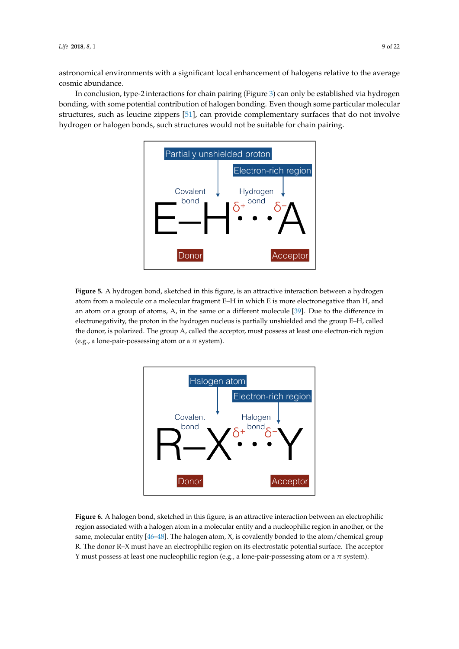astronomical environments with a significant local enhancement of halogens relative to the average cosmic abundance.

<span id="page-8-0"></span>In conclusion, type-2 interactions for chain pairing (Figure [3\)](#page-3-0) can only be established via hydrogen bonding, with some potential contribution of halogen bonding. Even though some particular molecular structures, such as leucine zippers [\[51\]](#page-19-24), can provide complementary surfaces that do not involve hydrogen or halogen bonds, such structures would not be suitable for chain pairing.



<span id="page-8-1"></span>**Figure 5.** A hydrogen bond, sketched in this figure, is an attractive interaction between a hydrogen atom from a molecule or a molecular fragment E–H in which E is more electronegative than H, and an atom or a group of atoms, A, in the same or a different molecule [\[39\]](#page-19-16). Due to the difference in electronegativity, the proton in the hydrogen nucleus is partially unshielded and the group E–H, called the donor, is polarized. The group A, called the acceptor, must possess at least one electron-rich region (e.g., a lone-pair-possessing atom or a *π* system).



**Figure 6.** A halogen bond, sketched in this figure, is an attractive interaction between an electrophilic region associated with a halogen atom in a molecular entity and a nucleophilic region in another, or the same, molecular entity  $[46-48]$  $[46-48]$ . The halogen atom, X, is covalently bonded to the atom/chemical group R. The donor R–X must have an electrophilic region on its electrostatic potential surface. The acceptor Y must possess at least one nucleophilic region (e.g., a lone-pair-possessing atom or a *π* system).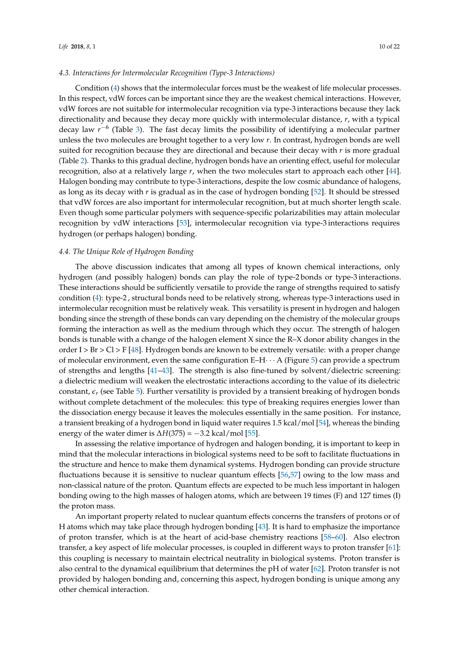### *4.3. Interactions for Intermolecular Recognition (Type-3 Interactions)*

Condition [\(4\)](#page-5-1) shows that the intermolecular forces must be the weakest of life molecular processes. In this respect, vdW forces can be important since they are the weakest chemical interactions. However, vdW forces are not suitable for intermolecular recognition via type-3 interactions because they lack directionality and because they decay more quickly with intermolecular distance, *r*, with a typical decay law *r*<sup>−6</sup> (Table [3\)](#page-7-1). The fast decay limits the possibility of identifying a molecular partner unless the two molecules are brought together to a very low *r*. In contrast, hydrogen bonds are well suited for recognition because they are directional and because their decay with *r* is more gradual (Table [2\)](#page-6-0). Thanks to this gradual decline, hydrogen bonds have an orienting effect, useful for molecular recognition, also at a relatively large *r*, when the two molecules start to approach each other [\[44\]](#page-19-18). Halogen bonding may contribute to type-3 interactions, despite the low cosmic abundance of halogens, as long as its decay with *r* is gradual as in the case of hydrogen bonding [\[52\]](#page-19-25). It should be stressed that vdW forces are also important for intermolecular recognition, but at much shorter length scale. Even though some particular polymers with sequence-specific polarizabilities may attain molecular recognition by vdW interactions [\[53\]](#page-19-26), intermolecular recognition via type-3 interactions requires hydrogen (or perhaps halogen) bonding.

### <span id="page-9-0"></span>*4.4. The Unique Role of Hydrogen Bonding*

The above discussion indicates that among all types of known chemical interactions, only hydrogen (and possibly halogen) bonds can play the role of type-2 bonds or type-3 interactions. These interactions should be sufficiently versatile to provide the range of strengths required to satisfy condition [\(4\)](#page-5-1): type-2 , structural bonds need to be relatively strong, whereas type-3 interactions used in intermolecular recognition must be relatively weak. This versatility is present in hydrogen and halogen bonding since the strength of these bonds can vary depending on the chemistry of the molecular groups forming the interaction as well as the medium through which they occur. The strength of halogen bonds is tunable with a change of the halogen element X since the R–X donor ability changes in the order I > Br > Cl > F [\[48\]](#page-19-21). Hydrogen bonds are known to be extremely versatile: with a proper change of molecular environment, even the same configuration  $E-H \cdot \cdot \cdot$  A (Figure [5\)](#page-8-0) can provide a spectrum of strengths and lengths [\[41–](#page-19-27)[43\]](#page-19-17). The strength is also fine-tuned by solvent/dielectric screening: a dielectric medium will weaken the electrostatic interactions according to the value of its dielectric constant,  $\epsilon_r$  (see Table [5\)](#page-10-0). Further versatility is provided by a transient breaking of hydrogen bonds without complete detachment of the molecules: this type of breaking requires energies lower than the dissociation energy because it leaves the molecules essentially in the same position. For instance, a transient breaking of a hydrogen bond in liquid water requires 1.5 kcal/mol [\[54\]](#page-20-0), whereas the binding energy of the water dimer is  $\Delta H(375) = -3.2$  kcal/mol [\[55\]](#page-20-1).

In assessing the relative importance of hydrogen and halogen bonding, it is important to keep in mind that the molecular interactions in biological systems need to be soft to facilitate fluctuations in the structure and hence to make them dynamical systems. Hydrogen bonding can provide structure fluctuations because it is sensitive to nuclear quantum effects [\[56,](#page-20-2)[57\]](#page-20-3) owing to the low mass and non-classical nature of the proton. Quantum effects are expected to be much less important in halogen bonding owing to the high masses of halogen atoms, which are between 19 times (F) and 127 times (I) the proton mass.

An important property related to nuclear quantum effects concerns the transfers of protons or of H atoms which may take place through hydrogen bonding [\[43\]](#page-19-17). It is hard to emphasize the importance of proton transfer, which is at the heart of acid-base chemistry reactions [\[58–](#page-20-4)[60\]](#page-20-5). Also electron transfer, a key aspect of life molecular processes, is coupled in different ways to proton transfer [\[61\]](#page-20-6): this coupling is necessary to maintain electrical neutrality in biological systems. Proton transfer is also central to the dynamical equilibrium that determines the pH of water [\[62\]](#page-20-7). Proton transfer is not provided by halogen bonding and, concerning this aspect, hydrogen bonding is unique among any other chemical interaction.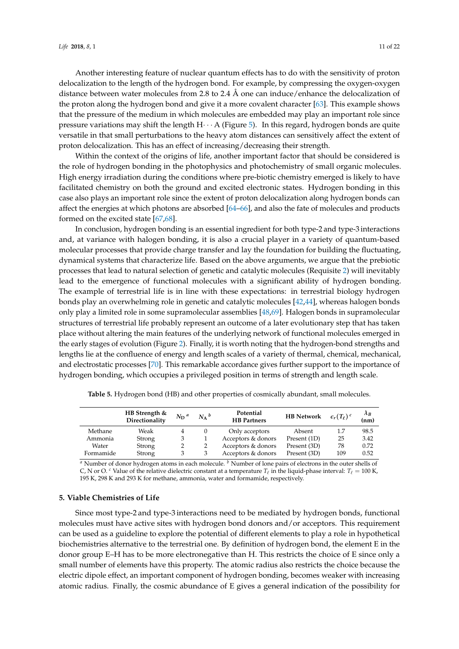Another interesting feature of nuclear quantum effects has to do with the sensitivity of proton delocalization to the length of the hydrogen bond. For example, by compressing the oxygen-oxygen distance between water molecules from 2.8 to 2.4 Å one can induce/enhance the delocalization of the proton along the hydrogen bond and give it a more covalent character [\[63\]](#page-20-8). This example shows that the pressure of the medium in which molecules are embedded may play an important role since pressure variations may shift the length  $H \cdot \cdot \cdot A$  (Figure [5\)](#page-8-0). In this regard, hydrogen bonds are quite versatile in that small perturbations to the heavy atom distances can sensitively affect the extent of proton delocalization. This has an effect of increasing/decreasing their strength.

Within the context of the origins of life, another important factor that should be considered is the role of hydrogen bonding in the photophysics and photochemistry of small organic molecules. High energy irradiation during the conditions where pre-biotic chemistry emerged is likely to have facilitated chemistry on both the ground and excited electronic states. Hydrogen bonding in this case also plays an important role since the extent of proton delocalization along hydrogen bonds can affect the energies at which photons are absorbed [\[64–](#page-20-9)[66\]](#page-20-10), and also the fate of molecules and products formed on the excited state [\[67](#page-20-11)[,68\]](#page-20-12).

In conclusion, hydrogen bonding is an essential ingredient for both type-2 and type-3 interactions and, at variance with halogen bonding, it is also a crucial player in a variety of quantum-based molecular processes that provide charge transfer and lay the foundation for building the fluctuating, dynamical systems that characterize life. Based on the above arguments, we argue that the prebiotic processes that lead to natural selection of genetic and catalytic molecules (Requisite [2\)](#page-2-1) will inevitably lead to the emergence of functional molecules with a significant ability of hydrogen bonding. The example of terrestrial life is in line with these expectations: in terrestrial biology hydrogen bonds play an overwhelming role in genetic and catalytic molecules [\[42](#page-19-28)[,44\]](#page-19-18), whereas halogen bonds only play a limited role in some supramolecular assemblies [\[48,](#page-19-21)[69\]](#page-20-13). Halogen bonds in supramolecular structures of terrestrial life probably represent an outcome of a later evolutionary step that has taken place without altering the main features of the underlying network of functional molecules emerged in the early stages of evolution (Figure [2\)](#page-2-0). Finally, it is worth noting that the hydrogen-bond strengths and lengths lie at the confluence of energy and length scales of a variety of thermal, chemical, mechanical, and electrostatic processes [\[70\]](#page-20-14). This remarkable accordance gives further support to the importance of hydrogen bonding, which occupies a privileged position in terms of strength and length scale.

|           | HB Strength &<br>Directionality | $N_D^a$ | $N_A{}^b$ | Potential<br><b>HB</b> Partners | <b>HB</b> Network | $\epsilon_r(T_\ell)^c$ | $\frac{\lambda_B}{\text{(nm)}}$ |
|-----------|---------------------------------|---------|-----------|---------------------------------|-------------------|------------------------|---------------------------------|
| Methane   | Weak                            |         |           | Only acceptors                  | Absent            | 1.7                    | 98.5                            |
| Ammonia   | Strong                          | 3       |           | Acceptors & donors              | Present (1D)      | 25                     | 3.42                            |
| Water     | Strong                          |         |           | Acceptors & donors              | Present (3D)      | 78                     | 0.72                            |
| Formamide | Strong                          |         |           | Acceptors & donors              | Present (3D)      | 109                    | 0.52                            |

<span id="page-10-0"></span>**Table 5.** Hydrogen bond (HB) and other properties of cosmically abundant, small molecules.

*<sup>a</sup>* Number of donor hydrogen atoms in each molecule. *<sup>b</sup>* Number of lone pairs of electrons in the outer shells of C, N or O. <sup>*c*</sup> Value of the relative dielectric constant at a temperature  $T_\ell$  in the liquid-phase interval:  $T_\ell = 100$  K, 195 K, 298 K and 293 K for methane, ammonia, water and formamide, respectively.

### <span id="page-10-1"></span>**5. Viable Chemistries of Life**

Since most type-2 and type-3 interactions need to be mediated by hydrogen bonds, functional molecules must have active sites with hydrogen bond donors and/or acceptors. This requirement can be used as a guideline to explore the potential of different elements to play a role in hypothetical biochemistries alternative to the terrestrial one. By definition of hydrogen bond, the element E in the donor group E–H has to be more electronegative than H. This restricts the choice of E since only a small number of elements have this property. The atomic radius also restricts the choice because the electric dipole effect, an important component of hydrogen bonding, becomes weaker with increasing atomic radius. Finally, the cosmic abundance of E gives a general indication of the possibility for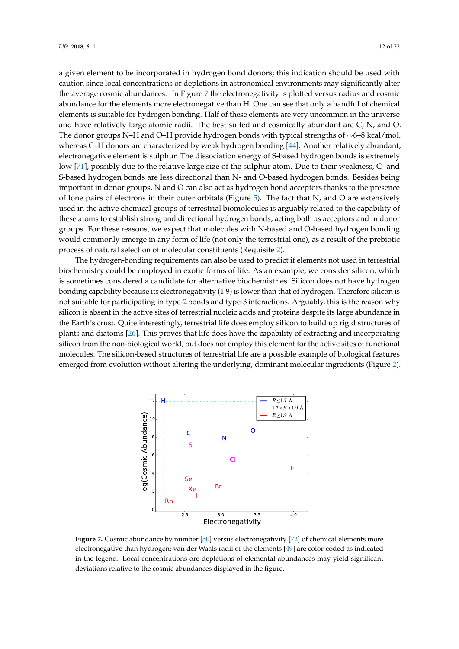a given element to be incorporated in hydrogen bond donors; this indication should be used with caution since local concentrations or depletions in astronomical environments may significantly alter the average cosmic abundances. In Figure [7](#page-11-0) the electronegativity is plotted versus radius and cosmic abundance for the elements more electronegative than H. One can see that only a handful of chemical elements is suitable for hydrogen bonding. Half of these elements are very uncommon in the universe and have relatively large atomic radii. The best suited and cosmically abundant are C, N, and O. The donor groups N–H and O–H provide hydrogen bonds with typical strengths of  $\sim$ 6–8 kcal/mol, whereas C–H donors are characterized by weak hydrogen bonding [\[44\]](#page-19-18). Another relatively abundant, electronegative element is sulphur. The dissociation energy of S-based hydrogen bonds is extremely low [\[71\]](#page-20-15), possibly due to the relative large size of the sulphur atom. Due to their weakness, C- and S-based hydrogen bonds are less directional than N- and O-based hydrogen bonds. Besides being important in donor groups, N and O can also act as hydrogen bond acceptors thanks to the presence of lone pairs of electrons in their outer orbitals (Figure [5\)](#page-8-0). The fact that N, and O are extensively used in the active chemical groups of terrestrial biomolecules is arguably related to the capability of these atoms to establish strong and directional hydrogen bonds, acting both as acceptors and in donor groups. For these reasons, we expect that molecules with N-based and O-based hydrogen bonding would commonly emerge in any form of life (not only the terrestrial one), as a result of the prebiotic process of natural selection of molecular constituents (Requisite [2\)](#page-2-1).

The hydrogen-bonding requirements can also be used to predict if elements not used in terrestrial biochemistry could be employed in exotic forms of life. As an example, we consider silicon, which is sometimes considered a candidate for alternative biochemistries. Silicon does not have hydrogen bonding capability because its electronegativity (1.9) is lower than that of hydrogen. Therefore silicon is not suitable for participating in type-2 bonds and type-3 interactions. Arguably, this is the reason why silicon is absent in the active sites of terrestrial nucleic acids and proteins despite its large abundance in the Earth's crust. Quite interestingly, terrestrial life does employ silicon to build up rigid structures of plants and diatoms [\[26\]](#page-19-29). This proves that life does have the capability of extracting and incorporating silicon from the non-biological world, but does not employ this element for the active sites of functional molecules. The silicon-based structures of terrestrial life are a possible example of biological features emerged from evolution without altering the underlying, dominant molecular ingredients (Figure [2\)](#page-2-0).

<span id="page-11-0"></span>

**Figure 7.** Cosmic abundance by number [\[50\]](#page-19-23) versus electronegativity [\[72\]](#page-20-16) of chemical elements more electronegative than hydrogen; van der Waals radii of the elements [\[49\]](#page-19-22) are color-coded as indicated in the legend. Local concentrations ore depletions of elemental abundances may yield significant deviations relative to the cosmic abundances displayed in the figure.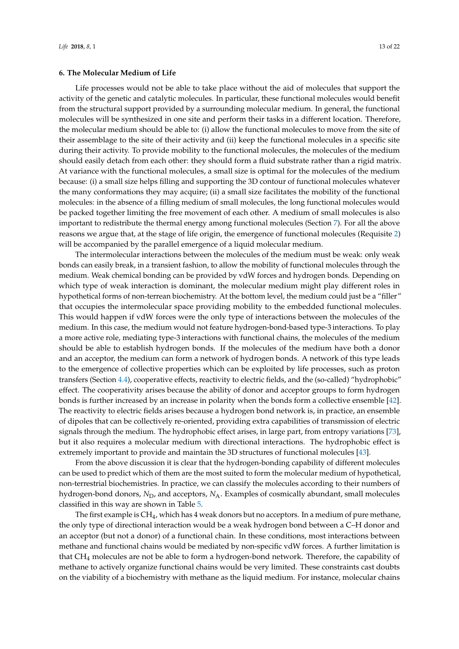<span id="page-12-0"></span>Life processes would not be able to take place without the aid of molecules that support the activity of the genetic and catalytic molecules. In particular, these functional molecules would benefit from the structural support provided by a surrounding molecular medium. In general, the functional molecules will be synthesized in one site and perform their tasks in a different location. Therefore, the molecular medium should be able to: (i) allow the functional molecules to move from the site of their assemblage to the site of their activity and (ii) keep the functional molecules in a specific site during their activity. To provide mobility to the functional molecules, the molecules of the medium should easily detach from each other: they should form a fluid substrate rather than a rigid matrix. At variance with the functional molecules, a small size is optimal for the molecules of the medium because: (i) a small size helps filling and supporting the 3D contour of functional molecules whatever the many conformations they may acquire; (ii) a small size facilitates the mobility of the functional molecules: in the absence of a filling medium of small molecules, the long functional molecules would be packed together limiting the free movement of each other. A medium of small molecules is also important to redistribute the thermal energy among functional molecules (Section [7\)](#page-14-0). For all the above reasons we argue that, at the stage of life origin, the emergence of functional molecules (Requisite [2\)](#page-2-1) will be accompanied by the parallel emergence of a liquid molecular medium.

The intermolecular interactions between the molecules of the medium must be weak: only weak bonds can easily break, in a transient fashion, to allow the mobility of functional molecules through the medium. Weak chemical bonding can be provided by vdW forces and hydrogen bonds. Depending on which type of weak interaction is dominant, the molecular medium might play different roles in hypothetical forms of non-terrean biochemistry. At the bottom level, the medium could just be a "filler" that occupies the intermolecular space providing mobility to the embedded functional molecules. This would happen if vdW forces were the only type of interactions between the molecules of the medium. In this case, the medium would not feature hydrogen-bond-based type-3 interactions. To play a more active role, mediating type-3 interactions with functional chains, the molecules of the medium should be able to establish hydrogen bonds. If the molecules of the medium have both a donor and an acceptor, the medium can form a network of hydrogen bonds. A network of this type leads to the emergence of collective properties which can be exploited by life processes, such as proton transfers (Section [4.4\)](#page-9-0), cooperative effects, reactivity to electric fields, and the (so-called) "hydrophobic" effect. The cooperativity arises because the ability of donor and acceptor groups to form hydrogen bonds is further increased by an increase in polarity when the bonds form a collective ensemble [\[42\]](#page-19-28). The reactivity to electric fields arises because a hydrogen bond network is, in practice, an ensemble of dipoles that can be collectively re-oriented, providing extra capabilities of transmission of electric signals through the medium. The hydrophobic effect arises, in large part, from entropy variations [\[73\]](#page-20-17), but it also requires a molecular medium with directional interactions. The hydrophobic effect is extremely important to provide and maintain the 3D structures of functional molecules [\[43\]](#page-19-17).

From the above discussion it is clear that the hydrogen-bonding capability of different molecules can be used to predict which of them are the most suited to form the molecular medium of hypothetical, non-terrestrial biochemistries. In practice, we can classify the molecules according to their numbers of hydrogen-bond donors, *N*<sub>D</sub>, and acceptors, *N*<sub>A</sub>. Examples of cosmically abundant, small molecules classified in this way are shown in Table [5.](#page-10-0)

The first example is CH4, which has 4 weak donors but no acceptors. In a medium of pure methane, the only type of directional interaction would be a weak hydrogen bond between a C–H donor and an acceptor (but not a donor) of a functional chain. In these conditions, most interactions between methane and functional chains would be mediated by non-specific vdW forces. A further limitation is that CH<sup>4</sup> molecules are not be able to form a hydrogen-bond network. Therefore, the capability of methane to actively organize functional chains would be very limited. These constraints cast doubts on the viability of a biochemistry with methane as the liquid medium. For instance, molecular chains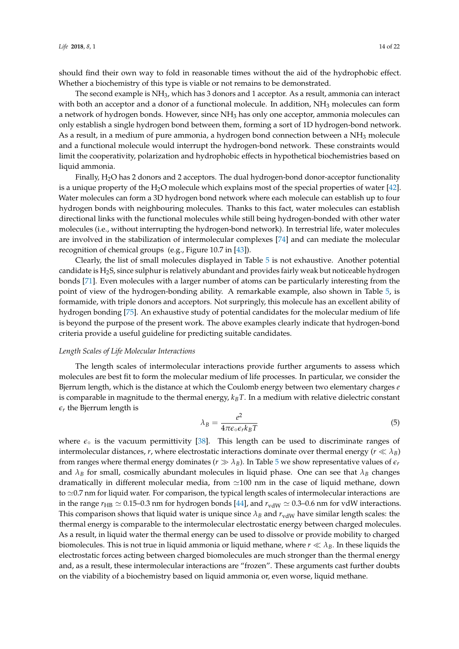should find their own way to fold in reasonable times without the aid of the hydrophobic effect. Whether a biochemistry of this type is viable or not remains to be demonstrated.

The second example is NH3, which has 3 donors and 1 acceptor. As a result, ammonia can interact with both an acceptor and a donor of a functional molecule. In addition, NH<sub>3</sub> molecules can form a network of hydrogen bonds. However, since NH<sub>3</sub> has only one acceptor, ammonia molecules can only establish a single hydrogen bond between them, forming a sort of 1D hydrogen-bond network. As a result, in a medium of pure ammonia, a hydrogen bond connection between a  $NH<sub>3</sub>$  molecule and a functional molecule would interrupt the hydrogen-bond network. These constraints would limit the cooperativity, polarization and hydrophobic effects in hypothetical biochemistries based on liquid ammonia.

Finally, H<sub>2</sub>O has 2 donors and 2 acceptors. The dual hydrogen-bond donor-acceptor functionality is a unique property of the  $H_2O$  molecule which explains most of the special properties of water [\[42\]](#page-19-28). Water molecules can form a 3D hydrogen bond network where each molecule can establish up to four hydrogen bonds with neighbouring molecules. Thanks to this fact, water molecules can establish directional links with the functional molecules while still being hydrogen-bonded with other water molecules (i.e., without interrupting the hydrogen-bond network). In terrestrial life, water molecules are involved in the stabilization of intermolecular complexes [\[74\]](#page-20-18) and can mediate the molecular recognition of chemical groups (e.g., Figure 10.7 in [\[43\]](#page-19-17)).

Clearly, the list of small molecules displayed in Table [5](#page-10-0) is not exhaustive. Another potential candidate is H2S, since sulphur is relatively abundant and provides fairly weak but noticeable hydrogen bonds [\[71\]](#page-20-15). Even molecules with a larger number of atoms can be particularly interesting from the point of view of the hydrogen-bonding ability. A remarkable example, also shown in Table [5,](#page-10-0) is formamide, with triple donors and acceptors. Not surpringly, this molecule has an excellent ability of hydrogen bonding [\[75\]](#page-20-19). An exhaustive study of potential candidates for the molecular medium of life is beyond the purpose of the present work. The above examples clearly indicate that hydrogen-bond criteria provide a useful guideline for predicting suitable candidates.

### *Length Scales of Life Molecular Interactions*

The length scales of intermolecular interactions provide further arguments to assess which molecules are best fit to form the molecular medium of life processes. In particular, we consider the Bjerrum length, which is the distance at which the Coulomb energy between two elementary charges *e* is comparable in magnitude to the thermal energy, *kBT*. In a medium with relative dielectric constant  $\epsilon_r$  the Bjerrum length is

$$
\lambda_B = \frac{e^2}{4\pi\epsilon_0 \epsilon_r k_B T} \tag{5}
$$

where  $\epsilon_{\circ}$  is the vacuum permittivity [\[38\]](#page-19-15). This length can be used to discriminate ranges of intermolecular distances, *r*, where electrostatic interactions dominate over thermal energy ( $r \ll \lambda_B$ ) from ranges where thermal energy dominates ( $r \gg \lambda_B$ ). In Table [5](#page-10-0) we show representative values of  $\epsilon_r$ and  $\lambda_B$  for small, cosmically abundant molecules in liquid phase. One can see that  $\lambda_B$  changes dramatically in different molecular media, from  $\simeq$  100 nm in the case of liquid methane, down to  $\simeq$  0.7 nm for liquid water. For comparison, the typical length scales of intermolecular interactions are in the range  $r_{\text{HB}} \simeq 0.15$ –0.3 nm for hydrogen bonds [\[44\]](#page-19-18), and  $r_{\text{vdW}} \simeq 0.3$ –0.6 nm for vdW interactions. This comparison shows that liquid water is unique since  $\lambda_B$  and  $r_{vdW}$  have similar length scales: the thermal energy is comparable to the intermolecular electrostatic energy between charged molecules. As a result, in liquid water the thermal energy can be used to dissolve or provide mobility to charged biomolecules. This is not true in liquid ammonia or liquid methane, where  $r \ll \lambda_B$ . In these liquids the electrostatic forces acting between charged biomolecules are much stronger than the thermal energy and, as a result, these intermolecular interactions are "frozen". These arguments cast further doubts on the viability of a biochemistry based on liquid ammonia or, even worse, liquid methane.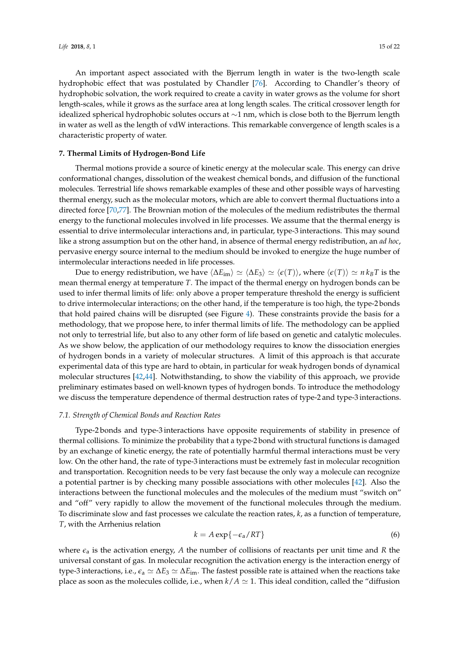An important aspect associated with the Bjerrum length in water is the two-length scale hydrophobic effect that was postulated by Chandler [\[76\]](#page-20-20). According to Chandler's theory of hydrophobic solvation, the work required to create a cavity in water grows as the volume for short length-scales, while it grows as the surface area at long length scales. The critical crossover length for idealized spherical hydrophobic solutes occurs at ∼1 nm, which is close both to the Bjerrum length in water as well as the length of vdW interactions. This remarkable convergence of length scales is a characteristic property of water.

#### <span id="page-14-0"></span>**7. Thermal Limits of Hydrogen-Bond Life**

Thermal motions provide a source of kinetic energy at the molecular scale. This energy can drive conformational changes, dissolution of the weakest chemical bonds, and diffusion of the functional molecules. Terrestrial life shows remarkable examples of these and other possible ways of harvesting thermal energy, such as the molecular motors, which are able to convert thermal fluctuations into a directed force [\[70](#page-20-14)[,77\]](#page-20-21). The Brownian motion of the molecules of the medium redistributes the thermal energy to the functional molecules involved in life processes. We assume that the thermal energy is essential to drive intermolecular interactions and, in particular, type-3 interactions. This may sound like a strong assumption but on the other hand, in absence of thermal energy redistribution, an *ad hoc*, pervasive energy source internal to the medium should be invoked to energize the huge number of intermolecular interactions needed in life processes.

Due to energy redistribution, we have  $\langle \Delta E_{\text{im}} \rangle \simeq \langle \Delta E_3 \rangle \simeq \langle \epsilon(T) \rangle$ , where  $\langle \epsilon(T) \rangle \simeq n k_B T$  is the mean thermal energy at temperature *T*. The impact of the thermal energy on hydrogen bonds can be used to infer thermal limits of life: only above a proper temperature threshold the energy is sufficient to drive intermolecular interactions; on the other hand, if the temperature is too high, the type-2 bonds that hold paired chains will be disrupted (see Figure [4\)](#page-5-2). These constraints provide the basis for a methodology, that we propose here, to infer thermal limits of life. The methodology can be applied not only to terrestrial life, but also to any other form of life based on genetic and catalytic molecules. As we show below, the application of our methodology requires to know the dissociation energies of hydrogen bonds in a variety of molecular structures. A limit of this approach is that accurate experimental data of this type are hard to obtain, in particular for weak hydrogen bonds of dynamical molecular structures [\[42,](#page-19-28)[44\]](#page-19-18). Notwithstanding, to show the viability of this approach, we provide preliminary estimates based on well-known types of hydrogen bonds. To introduce the methodology we discuss the temperature dependence of thermal destruction rates of type-2 and type-3 interactions.

### <span id="page-14-1"></span>*7.1. Strength of Chemical Bonds and Reaction Rates*

Type-2 bonds and type-3 interactions have opposite requirements of stability in presence of thermal collisions. To minimize the probability that a type-2 bond with structural functions is damaged by an exchange of kinetic energy, the rate of potentially harmful thermal interactions must be very low. On the other hand, the rate of type-3 interactions must be extremely fast in molecular recognition and transportation. Recognition needs to be very fast because the only way a molecule can recognize a potential partner is by checking many possible associations with other molecules [\[42\]](#page-19-28). Also the interactions between the functional molecules and the molecules of the medium must "switch on" and "off" very rapidly to allow the movement of the functional molecules through the medium. To discriminate slow and fast processes we calculate the reaction rates, *k*, as a function of temperature, *T*, with the Arrhenius relation

<span id="page-14-2"></span>
$$
k = A \exp\{-\epsilon_a / RT\} \tag{6}
$$

where  $\epsilon_a$  is the activation energy, A the number of collisions of reactants per unit time and R the universal constant of gas. In molecular recognition the activation energy is the interaction energy of type-3 interactions, i.e.,  $\varepsilon_a \simeq \Delta E_3 \simeq \Delta E_{\text{im}}$ . The fastest possible rate is attained when the reactions take place as soon as the molecules collide, i.e., when  $k/A \simeq 1$ . This ideal condition, called the "diffusion"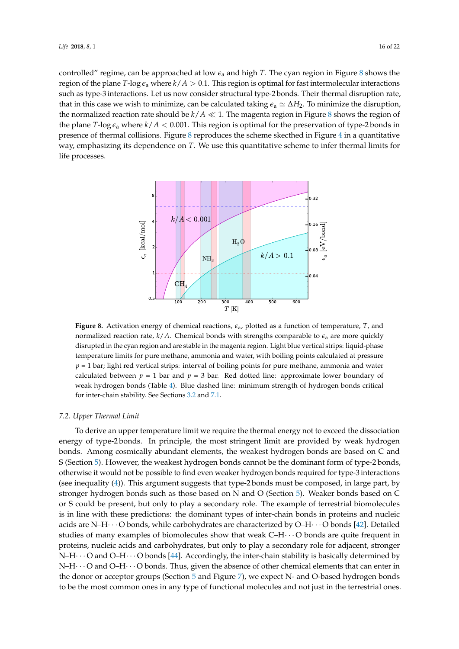controlled" regime, can be approached at low *e*<sup>a</sup> and high *T*. The cyan region in Figure [8](#page-15-0) shows the region of the plane *T*-log  $\epsilon_a$  where  $k/A > 0.1$ . This region is optimal for fast intermolecular interactions such as type-3 interactions. Let us now consider structural type-2 bonds. Their thermal disruption rate, that in this case we wish to minimize, can be calculated taking  $\epsilon_a \simeq \Delta H_2$ . To minimize the disruption, the normalized reaction rate should be  $k/A \ll 1$ . The magenta region in Figure [8](#page-15-0) shows the region of the plane *T*-log  $\epsilon_a$  where  $k/A$  < 0.001. This region is optimal for the preservation of type-2 bonds in presence of thermal collisions. Figure [8](#page-15-0) reproduces the scheme skecthed in Figure [4](#page-5-2) in a quantitative way, emphasizing its dependence on *T*. We use this quantitative scheme to infer thermal limits for life processes.

<span id="page-15-0"></span>

**Figure 8.** Activation energy of chemical reactions, *e*a, plotted as a function of temperature, *T*, and normalized reaction rate,  $k/A$ . Chemical bonds with strengths comparable to  $\epsilon$ <sub>a</sub> are more quickly disrupted in the cyan region and are stable in the magenta region. Light blue vertical strips: liquid-phase temperature limits for pure methane, ammonia and water, with boiling points calculated at pressure  $p = 1$  bar; light red vertical strips: interval of boiling points for pure methane, ammonia and water calculated between  $p = 1$  bar and  $p = 3$  bar. Red dotted line: approximate lower boundary of weak hydrogen bonds (Table [4\)](#page-7-0). Blue dashed line: minimum strength of hydrogen bonds critical for inter-chain stability. See Sections [3.2](#page-4-2) and [7.1.](#page-14-1)

### *7.2. Upper Thermal Limit*

To derive an upper temperature limit we require the thermal energy not to exceed the dissociation energy of type-2 bonds. In principle, the most stringent limit are provided by weak hydrogen bonds. Among cosmically abundant elements, the weakest hydrogen bonds are based on C and S (Section [5\)](#page-10-1). However, the weakest hydrogen bonds cannot be the dominant form of type-2 bonds, otherwise it would not be possible to find even weaker hydrogen bonds required for type-3 interactions (see inequality [\(4\)](#page-5-1)). This argument suggests that type-2 bonds must be composed, in large part, by stronger hydrogen bonds such as those based on N and O (Section [5\)](#page-10-1). Weaker bonds based on C or S could be present, but only to play a secondary role. The example of terrestrial biomolecules is in line with these predictions: the dominant types of inter-chain bonds in proteins and nucleic acids are N–H $\cdots$ O bonds, while carbohydrates are characterized by O–H $\cdots$ O bonds [\[42\]](#page-19-28). Detailed studies of many examples of biomolecules show that weak C–H· · · O bonds are quite frequent in proteins, nucleic acids and carbohydrates, but only to play a secondary role for adjacent, stronger  $N-H \cdot \cdot \cdot O$  and  $O-H \cdot \cdot \cdot O$  bonds [\[44\]](#page-19-18). Accordingly, the inter-chain stability is basically determined by  $N-H\cdots$  O and O–H $\cdots$  O bonds. Thus, given the absence of other chemical elements that can enter in the donor or acceptor groups (Section [5](#page-10-1) and Figure [7\)](#page-11-0), we expect N- and O-based hydrogen bonds to be the most common ones in any type of functional molecules and not just in the terrestrial ones.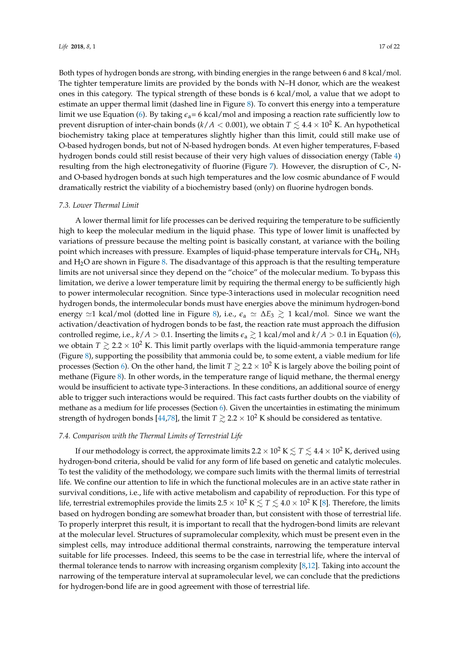Both types of hydrogen bonds are strong, with binding energies in the range between 6 and 8 kcal/mol. The tighter temperature limits are provided by the bonds with N–H donor, which are the weakest ones in this category. The typical strength of these bonds is 6 kcal/mol, a value that we adopt to estimate an upper thermal limit (dashed line in Figure [8\)](#page-15-0). To convert this energy into a temperature limit we use Equation [\(6\)](#page-14-2). By taking  $\epsilon_a$  = 6 kcal/mol and imposing a reaction rate sufficiently low to prevent disruption of inter-chain bonds ( $k/A < 0.001$ ), we obtain  $T \lesssim 4.4 \times 10^2$  K. An hypothetical biochemistry taking place at temperatures slightly higher than this limit, could still make use of O-based hydrogen bonds, but not of N-based hydrogen bonds. At even higher temperatures, F-based hydrogen bonds could still resist because of their very high values of dissociation energy (Table [4\)](#page-7-0) resulting from the high electronegativity of fluorine (Figure [7\)](#page-11-0). However, the disruption of C-, Nand O-based hydrogen bonds at such high temperatures and the low cosmic abundance of F would dramatically restrict the viability of a biochemistry based (only) on fluorine hydrogen bonds.

#### *7.3. Lower Thermal Limit*

A lower thermal limit for life processes can be derived requiring the temperature to be sufficiently high to keep the molecular medium in the liquid phase. This type of lower limit is unaffected by variations of pressure because the melting point is basically constant, at variance with the boiling point which increases with pressure. Examples of liquid-phase temperature intervals for  $CH_4$ ,  $NH_3$ and H<sub>2</sub>O are shown in Figure [8.](#page-15-0) The disadvantage of this approach is that the resulting temperature limits are not universal since they depend on the "choice" of the molecular medium. To bypass this limitation, we derive a lower temperature limit by requiring the thermal energy to be sufficiently high to power intermolecular recognition. Since type-3 interactions used in molecular recognition need hydrogen bonds, the intermolecular bonds must have energies above the minimum hydrogen-bond energy  $\approx$ 1 kcal/mol (dotted line in Figure [8\)](#page-15-0), i.e.,  $\epsilon$ <sub>a</sub>  $\approx \Delta E_3 \gtrsim 1$  kcal/mol. Since we want the activation/deactivation of hydrogen bonds to be fast, the reaction rate must approach the diffusion controlled regime, i.e.,  $k/A > 0.1$ . Inserting the limits  $\epsilon_a \gtrsim 1$  kcal/mol and  $k/A > 0.1$  in Equation [\(6\)](#page-14-2), we obtain  $T \gtrsim 2.2 \times 10^2$  K. This limit partly overlaps with the liquid-ammonia temperature range (Figure [8\)](#page-15-0), supporting the possibility that ammonia could be, to some extent, a viable medium for life processes (Section [6\)](#page-12-0). On the other hand, the limit  $T \gtrsim 2.2 \times 10^2$  K is largely above the boiling point of methane (Figure [8\)](#page-15-0). In other words, in the temperature range of liquid methane, the thermal energy would be insufficient to activate type-3 interactions. In these conditions, an additional source of energy able to trigger such interactions would be required. This fact casts further doubts on the viability of methane as a medium for life processes (Section [6\)](#page-12-0). Given the uncertainties in estimating the minimum strength of hydrogen bonds [\[44,](#page-19-18)[78\]](#page-20-22), the limit  $T \gtrsim 2.2 \times 10^2$  K should be considered as tentative.

### *7.4. Comparison with the Thermal Limits of Terrestrial Life*

If our methodology is correct, the approximate limits  $2.2 \times 10^2$  K  $\leq T \leq 4.4 \times 10^2$  K, derived using hydrogen-bond criteria, should be valid for any form of life based on genetic and catalytic molecules. To test the validity of the methodology, we compare such limits with the thermal limits of terrestrial life. We confine our attention to life in which the functional molecules are in an active state rather in survival conditions, i.e., life with active metabolism and capability of reproduction. For this type of life, terrestrial extremophiles provide the limits  $2.5 \times 10^2$  K  $\leq T \leq 4.0 \times 10^2$  K [\[8\]](#page-18-6). Therefore, the limits based on hydrogen bonding are somewhat broader than, but consistent with those of terrestrial life. To properly interpret this result, it is important to recall that the hydrogen-bond limits are relevant at the molecular level. Structures of supramolecular complexity, which must be present even in the simplest cells, may introduce additional thermal constraints, narrowing the temperature interval suitable for life processes. Indeed, this seems to be the case in terrestrial life, where the interval of thermal tolerance tends to narrow with increasing organism complexity [\[8,](#page-18-6)[12\]](#page-18-15). Taking into account the narrowing of the temperature interval at supramolecular level, we can conclude that the predictions for hydrogen-bond life are in good agreement with those of terrestrial life.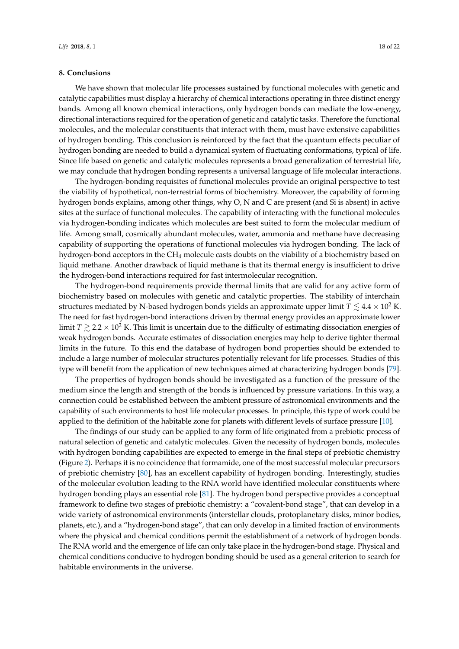### **8. Conclusions**

We have shown that molecular life processes sustained by functional molecules with genetic and catalytic capabilities must display a hierarchy of chemical interactions operating in three distinct energy bands. Among all known chemical interactions, only hydrogen bonds can mediate the low-energy, directional interactions required for the operation of genetic and catalytic tasks. Therefore the functional molecules, and the molecular constituents that interact with them, must have extensive capabilities of hydrogen bonding. This conclusion is reinforced by the fact that the quantum effects peculiar of hydrogen bonding are needed to build a dynamical system of fluctuating conformations, typical of life. Since life based on genetic and catalytic molecules represents a broad generalization of terrestrial life, we may conclude that hydrogen bonding represents a universal language of life molecular interactions.

The hydrogen-bonding requisites of functional molecules provide an original perspective to test the viability of hypothetical, non-terrestrial forms of biochemistry. Moreover, the capability of forming hydrogen bonds explains, among other things, why O, N and C are present (and Si is absent) in active sites at the surface of functional molecules. The capability of interacting with the functional molecules via hydrogen-bonding indicates which molecules are best suited to form the molecular medium of life. Among small, cosmically abundant molecules, water, ammonia and methane have decreasing capability of supporting the operations of functional molecules via hydrogen bonding. The lack of hydrogen-bond acceptors in the CH<sup>4</sup> molecule casts doubts on the viability of a biochemistry based on liquid methane. Another drawback of liquid methane is that its thermal energy is insufficient to drive the hydrogen-bond interactions required for fast intermolecular recognition.

The hydrogen-bond requirements provide thermal limits that are valid for any active form of biochemistry based on molecules with genetic and catalytic properties. The stability of interchain structures mediated by N-based hydrogen bonds yields an approximate upper limit  $T \lesssim 4.4 \times 10^2$  K. The need for fast hydrogen-bond interactions driven by thermal energy provides an approximate lower limit  $T \gtrsim 2.2 \times 10^2$  K. This limit is uncertain due to the difficulty of estimating dissociation energies of weak hydrogen bonds. Accurate estimates of dissociation energies may help to derive tighter thermal limits in the future. To this end the database of hydrogen bond properties should be extended to include a large number of molecular structures potentially relevant for life processes. Studies of this type will benefit from the application of new techniques aimed at characterizing hydrogen bonds [\[79\]](#page-20-23).

The properties of hydrogen bonds should be investigated as a function of the pressure of the medium since the length and strength of the bonds is influenced by pressure variations. In this way, a connection could be established between the ambient pressure of astronomical environments and the capability of such environments to host life molecular processes. In principle, this type of work could be applied to the definition of the habitable zone for planets with different levels of surface pressure [\[10\]](#page-18-16).

The findings of our study can be applied to any form of life originated from a prebiotic process of natural selection of genetic and catalytic molecules. Given the necessity of hydrogen bonds, molecules with hydrogen bonding capabilities are expected to emerge in the final steps of prebiotic chemistry (Figure [2\)](#page-2-0). Perhaps it is no coincidence that formamide, one of the most successful molecular precursors of prebiotic chemistry [\[80\]](#page-21-0), has an excellent capability of hydrogen bonding. Interestingly, studies of the molecular evolution leading to the RNA world have identified molecular constituents where hydrogen bonding plays an essential role [\[81\]](#page-21-1). The hydrogen bond perspective provides a conceptual framework to define two stages of prebiotic chemistry: a "covalent-bond stage", that can develop in a wide variety of astronomical environments (interstellar clouds, protoplanetary disks, minor bodies, planets, etc.), and a "hydrogen-bond stage", that can only develop in a limited fraction of environments where the physical and chemical conditions permit the establishment of a network of hydrogen bonds. The RNA world and the emergence of life can only take place in the hydrogen-bond stage. Physical and chemical conditions conducive to hydrogen bonding should be used as a general criterion to search for habitable environments in the universe.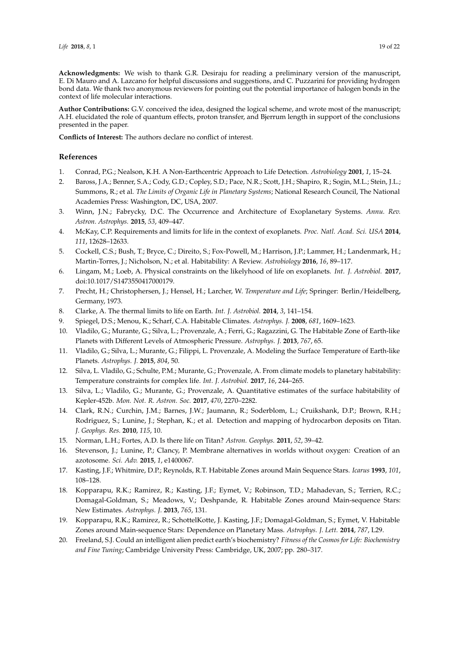**Acknowledgments:** We wish to thank G.R. Desiraju for reading a preliminary version of the manuscript, E. Di Mauro and A. Lazcano for helpful discussions and suggestions, and C. Puzzarini for providing hydrogen bond data. We thank two anonymous reviewers for pointing out the potential importance of halogen bonds in the context of life molecular interactions.

**Author Contributions:** G.V. conceived the idea, designed the logical scheme, and wrote most of the manuscript; A.H. elucidated the role of quantum effects, proton transfer, and Bjerrum length in support of the conclusions presented in the paper.

**Conflicts of Interest:** The authors declare no conflict of interest.

### **References**

- <span id="page-18-0"></span>1. Conrad, P.G.; Nealson, K.H. A Non-Earthcentric Approach to Life Detection. *Astrobiology* **2001**, *1*, 15–24.
- <span id="page-18-1"></span>2. Baross, J.A.; Benner, S.A.; Cody, G.D.; Copley, S.D.; Pace, N.R.; Scott, J.H.; Shapiro, R.; Sogin, M.L.; Stein, J.L.; Summons, R.; et al. *The Limits of Organic Life in Planetary Systems*; National Research Council, The National Academies Press: Washington, DC, USA, 2007.
- <span id="page-18-2"></span>3. Winn, J.N.; Fabrycky, D.C. The Occurrence and Architecture of Exoplanetary Systems. *Annu. Rev. Astron. Astrophys.* **2015**, *53*, 409–447.
- <span id="page-18-3"></span>4. McKay, C.P. Requirements and limits for life in the context of exoplanets. *Proc. Natl. Acad. Sci. USA* **2014**, *111*, 12628–12633.
- 5. Cockell, C.S.; Bush, T.; Bryce, C.; Direito, S.; Fox-Powell, M.; Harrison, J.P.; Lammer, H.; Landenmark, H.; Martin-Torres, J.; Nicholson, N.; et al. Habitability: A Review. *Astrobiology* **2016**, *16*, 89–117.
- <span id="page-18-4"></span>6. Lingam, M.; Loeb, A. Physical constraints on the likelyhood of life on exoplanets. *Int. J. Astrobiol.* **2017**, doi:10.1017/S1473550417000179.
- <span id="page-18-5"></span>7. Precht, H.; Christophersen, J.; Hensel, H.; Larcher, W. *Temperature and Life*; Springer: Berlin/Heidelberg, Germany, 1973.
- <span id="page-18-6"></span>8. Clarke, A. The thermal limits to life on Earth. *Int. J. Astrobiol.* **2014**, *3*, 141–154.
- <span id="page-18-7"></span>9. Spiegel, D.S.; Menou, K.; Scharf, C.A. Habitable Climates. *Astrophys. J.* **2008**, *681*, 1609–1623.
- <span id="page-18-16"></span>10. Vladilo, G.; Murante, G.; Silva, L.; Provenzale, A.; Ferri, G.; Ragazzini, G. The Habitable Zone of Earth-like Planets with Different Levels of Atmospheric Pressure. *Astrophys. J.* **2013**, *767*, 65.
- 11. Vladilo, G.; Silva, L.; Murante, G.; Filippi, L. Provenzale, A. Modeling the Surface Temperature of Earth-like Planets. *Astrophys. J.* **2015**, *804*, 50.
- <span id="page-18-15"></span>12. Silva, L. Vladilo, G.; Schulte, P.M.; Murante, G.; Provenzale, A. From climate models to planetary habitability: Temperature constraints for complex life. *Int. J. Astrobiol.* **2017**, *16*, 244–265.
- <span id="page-18-8"></span>13. Silva, L.; Vladilo, G.; Murante, G.; Provenzale, A. Quantitative estimates of the surface habitability of Kepler-452b. *Mon. Not. R. Astron. Soc.* **2017**, *470*, 2270–2282.
- <span id="page-18-9"></span>14. Clark, R.N.; Curchin, J.M.; Barnes, J.W.; Jaumann, R.; Soderblom, L.; Cruikshank, D.P.; Brown, R.H.; Rodriguez, S.; Lunine, J.; Stephan, K.; et al. Detection and mapping of hydrocarbon deposits on Titan. *J. Geophys. Res.* **2010**, *115*, 10.
- <span id="page-18-10"></span>15. Norman, L.H.; Fortes, A.D. Is there life on Titan? *Astron. Geophys.* **2011**, *52*, 39–42.
- <span id="page-18-11"></span>16. Stevenson, J.; Lunine, P.; Clancy, P. Membrane alternatives in worlds without oxygen: Creation of an azotosome. *Sci. Adv.* **2015**, *1*, e1400067.
- <span id="page-18-12"></span>17. Kasting, J.F.; Whitmire, D.P.; Reynolds, R.T. Habitable Zones around Main Sequence Stars. *Icarus* **1993**, *101*, 108–128.
- 18. Kopparapu, R.K.; Ramirez, R.; Kasting, J.F.; Eymet, V.; Robinson, T.D.; Mahadevan, S.; Terrien, R.C.; Domagal-Goldman, S.; Meadows, V.; Deshpande, R. Habitable Zones around Main-sequence Stars: New Estimates. *Astrophys. J.* **2013**, *765*, 131.
- <span id="page-18-13"></span>19. Kopparapu, R.K.; Ramirez, R.; SchottelKotte, J. Kasting, J.F.; Domagal-Goldman, S.; Eymet, V. Habitable Zones around Main-sequence Stars: Dependence on Planetary Mass. *Astrophys. J. Lett.* **2014**, *787*, L29.
- <span id="page-18-14"></span>20. Freeland, S.J. Could an intelligent alien predict earth's biochemistry? *Fitness of the Cosmos for Life: Biochemistry and Fine Tuning*; Cambridge University Press: Cambridge, UK, 2007; pp. 280–317.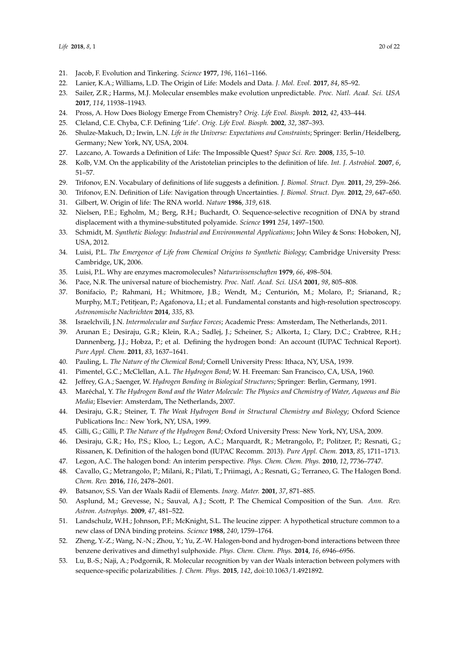- <span id="page-19-0"></span>21. Jacob, F. Evolution and Tinkering. *Science* **1977**, *196*, 1161–1166.
- <span id="page-19-1"></span>22. Lanier, K.A.; Williams, L.D. The Origin of Life: Models and Data. *J. Mol. Evol.* **2017**, *84*, 85–92.
- <span id="page-19-2"></span>23. Sailer, Z.R.; Harms, M.J. Molecular ensembles make evolution unpredictable. *Proc. Natl. Acad. Sci. USA* **2017**, *114*, 11938–11943.
- <span id="page-19-3"></span>24. Pross, A. How Does Biology Emerge From Chemistry? *Orig. Life Evol. Biosph.* **2012**, *42*, 433–444.
- <span id="page-19-4"></span>25. Cleland, C.E. Chyba, C.F. Defining 'Life'. *Orig. Life Evol. Biosph.* **2002**, *32*, 387–393.
- <span id="page-19-29"></span>26. Shulze-Makuch, D.; Irwin, L.N. *Life in the Universe: Expectations and Constraints*; Springer: Berlin/Heidelberg, Germany; New York, NY, USA, 2004.
- <span id="page-19-5"></span>27. Lazcano, A. Towards a Definition of Life: The Impossible Quest? *Space Sci. Rev.* **2008**, *135*, 5–10.
- <span id="page-19-6"></span>28. Kolb, V.M. On the applicability of the Aristotelian principles to the definition of life. *Int. J. Astrobiol.* **2007**, *6*, 51–57.
- 29. Trifonov, E.N. Vocabulary of definitions of life suggests a definition. *J. Biomol. Struct. Dyn.* **2011**, *29*, 259–266.
- <span id="page-19-7"></span>30. Trifonov, E.N. Definition of Life: Navigation through Uncertainties. *J. Biomol. Struct. Dyn.* **2012**, *29*, 647–650.
- <span id="page-19-8"></span>31. Gilbert, W. Origin of life: The RNA world. *Nature* **1986**, *319*, 618.
- <span id="page-19-9"></span>32. Nielsen, P.E.; Egholm, M.; Berg, R.H.; Buchardt, O. Sequence-selective recognition of DNA by strand displacement with a thymine-substituted polyamide. *Science* **1991** *254*, 1497–1500.
- <span id="page-19-10"></span>33. Schmidt, M. *Synthetic Biology: Industrial and Environmental Applications*; John Wiley & Sons: Hoboken, NJ, USA, 2012.
- <span id="page-19-11"></span>34. Luisi, P.L. *The Emergence of Life from Chemical Origins to Synthetic Biology*; Cambridge University Press: Cambridge, UK, 2006.
- <span id="page-19-12"></span>35. Luisi, P.L. Why are enzymes macromolecules? *Naturwissenschaften* **1979**, *66*, 498–504.
- <span id="page-19-13"></span>36. Pace, N.R. The universal nature of biochemistry. *Proc. Natl. Acad. Sci. USA* **2001**, *98*, 805–808.
- <span id="page-19-14"></span>37. Bonifacio, P.; Rahmani, H.; Whitmore, J.B.; Wendt, M.; Centurión, M.; Molaro, P.; Srianand, R.; Murphy, M.T.; Petitjean, P.; Agafonova, I.I.; et al. Fundamental constants and high-resolution spectroscopy. *Astronomische Nachrichten* **2014**, *335*, 83.
- <span id="page-19-15"></span>38. Israelchvili, J.N. *Intermolecular and Surface Forces*; Academic Press: Amsterdam, The Netherlands, 2011.
- <span id="page-19-16"></span>39. Arunan E.; Desiraju, G.R.; Klein, R.A.; Sadlej, J.; Scheiner, S.; Alkorta, I.; Clary, D.C.; Crabtree, R.H.; Dannenberg, J.J.; Hobza, P.; et al. Defining the hydrogen bond: An account (IUPAC Technical Report). *Pure Appl. Chem.* **2011**, *83*, 1637–1641.
- 40. Pauling, L. *The Nature of the Chemical Bond*; Cornell University Press: Ithaca, NY, USA, 1939.
- <span id="page-19-27"></span>41. Pimentel, G.C.; McClellan, A.L. *The Hydrogen Bond*; W. H. Freeman: San Francisco, CA, USA, 1960.
- <span id="page-19-28"></span>42. Jeffrey, G.A.; Saenger, W. *Hydrogen Bonding in Biological Structures*; Springer: Berlin, Germany, 1991.
- <span id="page-19-17"></span>43. Maréchal, Y. *The Hydrogen Bond and the Water Molecule: The Physics and Chemistry of Water, Aqueous and Bio Media*; Elsevier: Amsterdam, The Netherlands, 2007.
- <span id="page-19-18"></span>44. Desiraju, G.R.; Steiner, T. *The Weak Hydrogen Bond in Structural Chemistry and Biology*; Oxford Science Publications Inc.: New York, NY, USA, 1999.
- <span id="page-19-19"></span>45. Gilli, G.; Gilli, P. *The Nature of the Hydrogen Bond*; Oxford University Press: New York, NY, USA, 2009.
- <span id="page-19-20"></span>46. Desiraju, G.R.; Ho, P.S.; Kloo, L.; Legon, A.C.; Marquardt, R.; Metrangolo, P.; Politzer, P.; Resnati, G.; Rissanen, K. Definition of the halogen bond (IUPAC Recomm. 2013). *Pure Appl. Chem.* **2013**, *85*, 1711–1713.
- 47. Legon, A.C. The halogen bond: An interim perspective. *Phys. Chem. Chem. Phys.* **2010**, *12*, 7736–7747.
- <span id="page-19-21"></span>48. Cavallo, G.; Metrangolo, P.; Milani, R.; Pilati, T.; Priimagi, A.; Resnati, G.; Terraneo, G. The Halogen Bond. *Chem. Rev.* **2016**, *116*, 2478–2601.
- <span id="page-19-22"></span>49. Batsanov, S.S. Van der Waals Radii of Elements. *Inorg. Mater.* **2001**, *37*, 871–885.
- <span id="page-19-23"></span>50. Asplund, M.; Grevesse, N.; Sauval, A.J.; Scott, P. The Chemical Composition of the Sun. *Ann. Rev. Astron. Astrophys.* **2009**, *47*, 481–522.
- <span id="page-19-24"></span>51. Landschulz, W.H.; Johnson, P.F.; McKnight, S.L. The leucine zipper: A hypothetical structure common to a new class of DNA binding proteins. *Science* **1988**, *240*, 1759–1764.
- <span id="page-19-25"></span>52. Zheng, Y.-Z.; Wang, N.-N.; Zhou, Y.; Yu, Z.-W. Halogen-bond and hydrogen-bond interactions between three benzene derivatives and dimethyl sulphoxide. *Phys. Chem. Chem. Phys.* **2014**, *16*, 6946–6956.
- <span id="page-19-26"></span>53. Lu, B.-S.; Naji, A.; Podgornik, R. Molecular recognition by van der Waals interaction between polymers with sequence-specific polarizabilities. *J. Chem. Phys.* **2015**, *142*, doi:10.1063/1.4921892.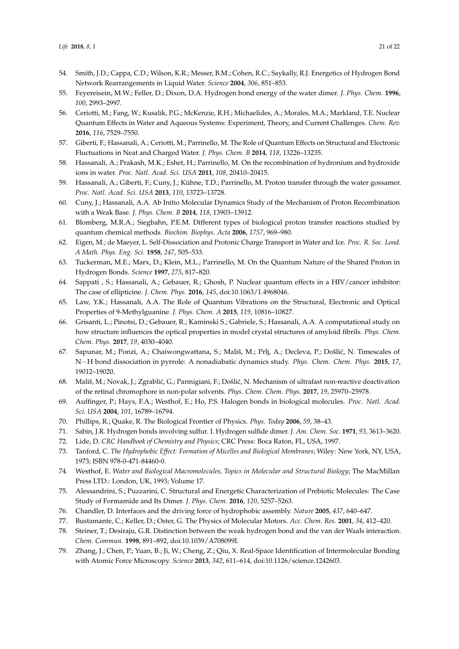- <span id="page-20-0"></span>54. Smith, J.D.; Cappa, C.D.; Wilson, K.R.; Messer, B.M.; Cohen, R.C.; Saykally, R.J. Energetics of Hydrogen Bond Network Rearrangements in Liquid Water. *Science* **2004**, *306*, 851–853.
- <span id="page-20-1"></span>55. Feyereisein, M.W.; Feller, D.; Dixon, D.A. Hydrogen bond energy of the water dimer. *J. Phys. Chem.* **1996**, *100*, 2993–2997.
- <span id="page-20-2"></span>56. Ceriotti, M.; Fang, W.; Kusalik, P.G.; McKenzie, R.H.; Michaelides, A.; Morales, M.A.; Markland, T.E. Nuclear Quantum Effects in Water and Aqueous Systems: Experiment, Theory, and Current Challenges. *Chem. Rev.* **2016**, *116*, 7529–7550.
- <span id="page-20-3"></span>57. Giberti, F.; Hassanali, A.; Ceriotti, M.; Parrinello, M. The Role of Quantum Effects on Structural and Electronic Fluctuations in Neat and Charged Water. *J. Phys. Chem. B* **2014**, *118*, 13226–13235.
- <span id="page-20-4"></span>58. Hassanali, A.; Prakash, M.K.; Eshet, H.; Parrinello, M. On the recombination of hydronium and hydroxide ions in water. *Proc. Natl. Acad. Sci. USA* **2011**, *108*, 20410–20415.
- 59. Hassanali, A.; Giberti, F.; Cuny, J.; Kühne, T.D.; Parrinello, M. Proton transfer through the water gossamer. *Proc. Natl. Acad. Sci. USA* **2013**, *110*, 13723–13728.
- <span id="page-20-5"></span>60. Cuny, J.; Hassanali, A.A. Ab Initio Molecular Dynamics Study of the Mechanism of Proton Recombination with a Weak Base. *J. Phys. Chem. B* **2014**, *118*, 13903–13912.
- <span id="page-20-6"></span>61. Blomberg, M.R.A.; Siegbahn, P.E.M. Different types of biological proton transfer reactions studied by quantum chemical methods. *Biochim. Biophys. Acta* **2006**, *1757*, 969–980.
- <span id="page-20-7"></span>62. Eigen, M.; de Maeyer, L. Self-Dissociation and Protonic Charge Transport in Water and Ice. *Proc. R. Soc. Lond. A Math. Phys. Eng. Sci.* **1958**, *247*, 505–533.
- <span id="page-20-8"></span>63. Tuckerman, M.E.; Marx, D.; Klein, M.L.; Parrinello, M. On the Quantum Nature of the Shared Proton in Hydrogen Bonds. *Science* **1997**, *275*, 817–820.
- <span id="page-20-9"></span>64. Sappati , S.; Hassanali, A.; Gebauer, R.; Ghosh, P. Nuclear quantum effects in a HIV/cancer inhibitor: The case of ellipticine. *J. Chem. Phys.* **2016**, *145*, doi:10.1063/1.4968046.
- 65. Law, Y.K.; Hassanali, A.A. The Role of Quantum Vibrations on the Structural, Electronic and Optical Properties of 9-Methylguanine. *J. Phys. Chem. A* **2015**, *119*, 10816–10827.
- <span id="page-20-10"></span>66. Grisanti, L.; Pinotsi, D.; Gebauer, R.; Kaminski S.; Gabriele, S.; Hassanali, A.A. A computational study on how structure influences the optical properties in model crystal structures of amyloid fibrils. *Phys. Chem. Chem. Phys.* **2017**, *19*, 4030–4040.
- <span id="page-20-11"></span>67. Sapunar, M.; Ponzi, A.; Chaiwongwattana, S.; Mališ, M.; Prlj, A.; Decleva, P.; Došlić, N. Timescales of N−H bond dissociation in pyrrole: A nonadiabatic dynamics study. *Phys. Chem. Chem. Phys.* **2015**, *17*, 19012–19020.
- <span id="page-20-12"></span>68. Mališ, M.; Novak, J.; Zgrablić, G.; Parmigiani, F.; Došlić, N. Mechanism of ultrafast non-reactive deactivation of the retinal chromophore in non-polar solvents. *Phys. Chem. Chem. Phys.* **2017**, *19*, 25970–25978.
- <span id="page-20-13"></span>69. Auffinger, P.; Hays, F.A.; Westhof, E.; Ho, P.S. Halogen bonds in biological molecules. *Proc. Natl. Acad. Sci. USA* **2004**, *101*, 16789–16794.
- <span id="page-20-14"></span>70. Phillips, R.; Quake, R. The Biological Frontier of Physics. *Phys. Today* **2006**, *59*, 38–43.
- <span id="page-20-15"></span>71. Sabin, J.R. Hydrogen bonds involving sulfur. I. Hydrogen sulfide dimer. *J. Am. Chem. Soc.* **1971**, *93*, 3613–3620.
- <span id="page-20-16"></span>72. Lide, D. *CRC Handbook of Chemistry and Physics*; CRC Press: Boca Raton, FL, USA, 1997.
- <span id="page-20-17"></span>73. Tanford, C. *The Hydrophobic Effect: Formation of Micelles and Biological Membranes*; Wiley: New York, NY, USA, 1973; ISBN 978-0-471-84460-0.
- <span id="page-20-18"></span>74. Westhof, E. *Water and Biological Macromolecules, Topics in Molecular and Structural Biology*; The MacMillan Press LTD.: London, UK, 1993; Volume 17.
- <span id="page-20-19"></span>75. Alessandrini, S.; Puzzarini, C. Structural and Energetic Characterization of Prebiotic Molecules: The Case Study of Formamide and Its Dimer. *J. Phys. Chem.* **2016**, *120*, 5257–5263.
- <span id="page-20-20"></span>76. Chandler, D. Interfaces and the driving force of hydrophobic assembly. *Nature* **2005**, *437*, 640–647.
- <span id="page-20-21"></span>77. Bustamante, C.; Keller, D.; Oster, G. The Physics of Molecular Motors. *Acc. Chem. Res.* **2001**, *34*, 412–420.
- <span id="page-20-22"></span>78. Steiner, T.; Desiraju, G.R. Distinction between the weak hydrogen bond and the van der Waals interaction. *Chem. Commun.* **1998**, 891–892, doi:10.1039/A708099I.
- <span id="page-20-23"></span>79. Zhang, J.; Chen, P.; Yuan, B.; Ji, W.; Cheng, Z.; Qiu, X. Real-Space Identification of Intermolecular Bonding with Atomic Force Microscopy. *Science* **2013**, *342*, 611–614, doi:10.1126/science.1242603.